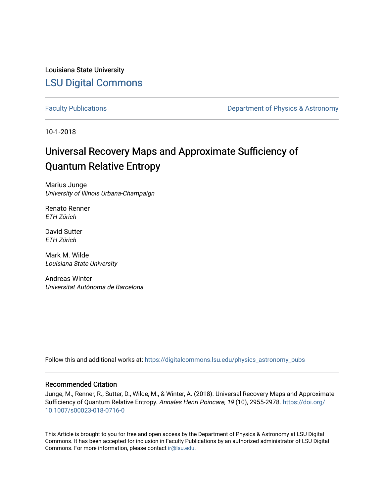Louisiana State University [LSU Digital Commons](https://digitalcommons.lsu.edu/)

[Faculty Publications](https://digitalcommons.lsu.edu/physics_astronomy_pubs) **Exercise 2 and Table 2 and Table 2 and Table 2 and Table 2 and Table 2 and Table 2 and Table 2 and Table 2 and Table 2 and Table 2 and Table 2 and Table 2 and Table 2 and Table 2 and Table 2 and Table** 

10-1-2018

# Universal Recovery Maps and Approximate Sufficiency of Quantum Relative Entropy

Marius Junge University of Illinois Urbana-Champaign

Renato Renner ETH Zürich

David Sutter ETH Zürich

Mark M. Wilde Louisiana State University

Andreas Winter Universitat Autònoma de Barcelona

Follow this and additional works at: [https://digitalcommons.lsu.edu/physics\\_astronomy\\_pubs](https://digitalcommons.lsu.edu/physics_astronomy_pubs?utm_source=digitalcommons.lsu.edu%2Fphysics_astronomy_pubs%2F5629&utm_medium=PDF&utm_campaign=PDFCoverPages) 

## Recommended Citation

Junge, M., Renner, R., Sutter, D., Wilde, M., & Winter, A. (2018). Universal Recovery Maps and Approximate Sufficiency of Quantum Relative Entropy. Annales Henri Poincare, 19 (10), 2955-2978. [https://doi.org/](https://doi.org/10.1007/s00023-018-0716-0) [10.1007/s00023-018-0716-0](https://doi.org/10.1007/s00023-018-0716-0) 

This Article is brought to you for free and open access by the Department of Physics & Astronomy at LSU Digital Commons. It has been accepted for inclusion in Faculty Publications by an authorized administrator of LSU Digital Commons. For more information, please contact [ir@lsu.edu](mailto:ir@lsu.edu).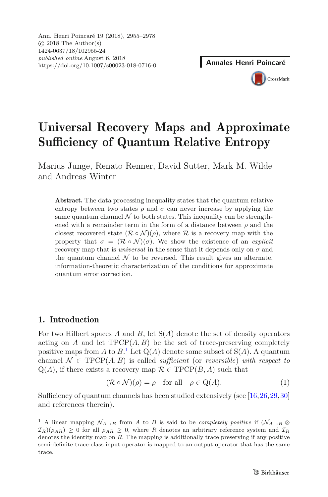CrossMark

## **Universal Recovery Maps and Approximate Sufficiency of Quantum Relative Entropy**

Marius Junge, Renato Renner, David Sutter, Mark M. Wilde and Andreas Winter

**Abstract.** The data processing inequality states that the quantum relative entropy between two states  $\rho$  and  $\sigma$  can never increase by applying the same quantum channel  $\mathcal N$  to both states. This inequality can be strengthened with a remainder term in the form of a distance between  $\rho$  and the closest recovered state  $(\mathcal{R} \circ \mathcal{N})(\rho)$ , where  $\mathcal{R}$  is a recovery map with the property that  $\sigma = (\mathcal{R} \circ \mathcal{N})(\sigma)$ . We show the existence of an *explicit* recovery map that is *universal* in the sense that it depends only on  $\sigma$  and the quantum channel  $\mathcal N$  to be reversed. This result gives an alternate, information-theoretic characterization of the conditions for approximate quantum error correction.

## **1. Introduction**

For two Hilbert spaces A and B, let  $S(A)$  denote the set of density operators acting on A and let  $TPCP(A, B)$  be the set of trace-preserving completely positive maps from A to  $B^1$  $B^1$ . Let  $Q(A)$  denote some subset of  $S(A)$ . A quantum<br>channel  $\Lambda \subseteq \text{TPCP}(A, B)$  is called sufficient (or reversible) with respect to channel  $\mathcal{N} \in \text{TPCP}(A, B)$  is called *sufficient* (or *reversible*) *with respect to*  $Q(A)$ , if there exists a recovery map  $\mathcal{R} \in \mathrm{TPCP}(B, A)$  such that

$$
(\mathcal{R} \circ \mathcal{N})(\rho) = \rho \quad \text{for all} \quad \rho \in \mathcal{Q}(A). \tag{1}
$$

Sufficiency of quantum channels has been studied extensively (see [\[16,](#page-22-0)[26](#page-22-1)[,29,](#page-22-2)[30\]](#page-22-3) and references therein).

<span id="page-1-0"></span><sup>&</sup>lt;sup>1</sup> A linear mapping  $\mathcal{N}_{A\to B}$  from A to B is said to be *completely positive* if  $(\mathcal{N}_{A\to B} \otimes$  $\mathcal{I}_R(\rho_{AR}) \geq 0$  for all  $\rho_{AR} \geq 0$ , where R denotes an arbitrary reference system and  $\mathcal{I}_R$ denotes the identity map on  $R$ . The mapping is additionally trace preserving if any positive semi-definite trace-class input operator is mapped to an output operator that has the same trace.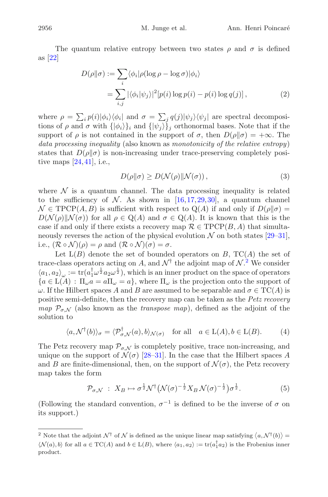The quantum relative entropy between two states  $\rho$  and  $\sigma$  is defined as [\[22](#page-22-4)]

$$
D(\rho||\sigma) := \sum_{i} \langle \phi_i | \rho(\log \rho - \log \sigma) | \phi_i \rangle
$$
  
= 
$$
\sum_{i,j} | \langle \phi_i | \psi_j \rangle |^2 [p(i) \log p(i) - p(i) \log q(j)],
$$
 (2)

where  $\rho = \sum_i p(i) |\phi_i\rangle\langle\phi_i|$  and  $\sigma = \sum_j q(j) |\psi_j\rangle\langle\psi_j|$  are spectral decompositions of a and  $\sigma$  with  $f(\phi_1)$  and  $f(\phi_2)$  orthonormal bases. Note that if the tions of  $\rho$  and  $\sigma$  with  $\{|\phi_i\rangle\}_i$  and  $\{|\psi_i\rangle\}_i$  orthonormal bases. Note that if the support of  $\rho$  is not contained in the support of  $\sigma$ , then  $D(\rho||\sigma)=+\infty$ . The *data processing inequality* (also known as *monotonicity of the relative entropy*) states that  $D(\rho||\sigma)$  is non-increasing under trace-preserving completely positive maps  $[24, 41]$  $[24, 41]$ , i.e.,

<span id="page-2-2"></span><span id="page-2-1"></span>
$$
D(\rho||\sigma) \ge D(\mathcal{N}(\rho)||\mathcal{N}(\sigma)),\tag{3}
$$

where  $\mathcal N$  is a quantum channel. The data processing inequality is related to the sufficiency of  $N$ . As shown in [\[16,](#page-22-0)[17,](#page-22-6)[29](#page-22-2)[,30](#page-22-3)], a quantum channel  $\mathcal{N} \in \text{TPCP}(A, B)$  is sufficient with respect to  $\mathbb{Q}(A)$  if and only if  $D(\rho||\sigma) =$  $D(\mathcal{N}(\rho)||\mathcal{N}(\sigma))$  for all  $\rho \in \mathbb{Q}(A)$  and  $\sigma \in \mathbb{Q}(A)$ . It is known that this is the case if and only if there exists a recovery map  $\mathcal{R} \in \mathrm{TPCP}(B, A)$  that simultaneously reverses the action of the physical evolution  $\mathcal N$  on both states [\[29](#page-22-2)[–31\]](#page-22-7), i.e.,  $(\mathcal{R} \circ \mathcal{N})(\rho) = \rho$  and  $(\mathcal{R} \circ \mathcal{N})(\sigma) = \sigma$ .

Let  $L(B)$  denote the set of bounded operators on B,  $TC(A)$  the set of trace-class operators acting on A, and  $\mathcal{N}^{\dagger}$  the adjoint map of  $\mathcal{N}^2$  $\mathcal{N}^2$ . We consider  $\langle a_1, a_2 \rangle = tr(a^{\dagger} a^{\dagger} a^{\dagger} a^{\dagger})$ , which is an inner product on the space of operators  $\langle a_1, a_2 \rangle_{\omega} := \text{tr}(a_1^{\dagger} \omega^{\frac{1}{2}} a_2 \omega^{\frac{1}{2}})$ , which is an inner product on the space of operators  $a \in L(A)$ .  $\Pi$ ,  $a = a \Pi$ ,  $= a$ , where  $\Pi$ , is the projection onto the support of  ${a \in L(A): \Pi_{\omega} a = a\Pi_{\omega} = a}$ , where  $\Pi_{\omega}$  is the projection onto the support of  $\omega$ . If the Hilbert spaces A and B are assumed to be separable and  $\sigma \in \mathrm{TC}(A)$  is positive semi-definite, then the recovery map can be taken as the *Petz recovery map*  $\mathcal{P}_{\sigma}$  (also known as the *transpose map*), defined as the adjoint of the solution to

$$
\langle a, \mathcal{N}^{\dagger}(b) \rangle_{\sigma} = \langle \mathcal{P}^{\dagger}_{\sigma, \mathcal{N}}(a), b \rangle_{\mathcal{N}(\sigma)} \quad \text{for all} \quad a \in L(A), b \in L(B). \tag{4}
$$

The Petz recovery map  $\mathcal{P}_{\sigma,\mathcal{N}}$  is completely positive, trace non-increasing, and unique on the support of  $\mathcal{N}(\sigma)$  [\[28](#page-22-8)[–31](#page-22-7)]. In the case that the Hilbert spaces A and B are finite-dimensional, then, on the support of  $\mathcal{N}(\sigma)$ , the Petz recovery map takes the form

<span id="page-2-4"></span><span id="page-2-3"></span>
$$
\mathcal{P}_{\sigma,\mathcal{N}}\;:\;X_B\mapsto\sigma^{\frac{1}{2}}\mathcal{N}^{\dagger}\big(\mathcal{N}(\sigma)^{-\frac{1}{2}}X_B\,\mathcal{N}(\sigma)^{-\frac{1}{2}}\big)\sigma^{\frac{1}{2}}.\tag{5}
$$

(Following the standard convention,  $\sigma^{-1}$  is defined to be the inverse of  $\sigma$  on its support.)

<span id="page-2-0"></span><sup>&</sup>lt;sup>2</sup> Note that the adjoint  $\mathcal{N}^{\dagger}$  of  $\mathcal{N}$  is defined as the unique linear map satisfying  $\langle a, \mathcal{N}^{\dagger} (b) \rangle$  =  $\langle \mathcal{N}(a), b \rangle$  for all  $a \in \text{TC}(A)$  and  $b \in \text{L}(B)$ , where  $\langle a_1, a_2 \rangle := \text{tr}(a_1^{\mathsf{T}} a_2)$  is the Frobenius inner product.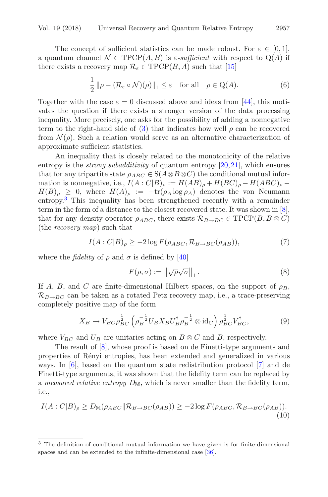The concept of sufficient statistics can be made robust. For  $\varepsilon \in [0,1]$ , a quantum channel  $\mathcal{N} \in \text{TPCP}(A, B)$  is  $\varepsilon$ -sufficient with respect to  $Q(A)$  if there exists a recovery map  $\mathcal{R}_{\varepsilon} \in \mathrm{TPCP}(B, A)$  such that [\[15\]](#page-22-9)

$$
\frac{1}{2} \|\rho - (\mathcal{R}_{\varepsilon} \circ \mathcal{N})(\rho)\|_{1} \le \varepsilon \quad \text{for all} \quad \rho \in \mathcal{Q}(A). \tag{6}
$$

Together with the case  $\varepsilon = 0$  discussed above and ideas from [\[44](#page-23-1)], this motivates the question if there exists a stronger version of the data processing inequality. More precisely, one asks for the possibility of adding a nonnegative term to the right-hand side of [\(3\)](#page-2-1) that indicates how well  $\rho$  can be recovered from  $\mathcal{N}(\rho)$ . Such a relation would serve as an alternative characterization of approximate sufficient statistics.

An inequality that is closely related to the monotonicity of the relative entropy is the *strong subadditivity* of quantum entropy [\[20,](#page-22-10)[21](#page-22-11)], which ensures that for any tripartite state  $\rho_{ABC} \in S(A \otimes B \otimes C)$  the conditional mutual information is nonnegative, i.e.,  $I(A: C|B)_{\rho} := H(AB)_{\rho} + H(BC)_{\rho} - H(ABC)_{\rho} H(B)_{\rho} \geq 0$ , where  $H(A)_{\rho} := -\text{tr}(\rho_A \log \rho_A)$  denotes the von Neumann entropy.[3](#page-3-0) This inequality has been strengthened recently with a remainder term in the form of a distance to the closest recovered state. It was shown in [\[8\]](#page-21-0), that for any density operator  $\rho_{ABC}$ , there exists  $\mathcal{R}_{B\rightarrow BC} \in \text{TPCP}(B, B \otimes C)$ (the *recovery map*) such that

$$
I(A:C|B)_{\rho} \ge -2\log F(\rho_{ABC}, \mathcal{R}_{B\to BC}(\rho_{AB})),\tag{7}
$$

where the *fidelity* of  $\rho$  and  $\sigma$  is defined by [\[40\]](#page-23-2)

<span id="page-3-4"></span><span id="page-3-3"></span><span id="page-3-2"></span><span id="page-3-1"></span>
$$
F(\rho, \sigma) := \left\| \sqrt{\rho} \sqrt{\sigma} \right\|_1.
$$
 (8)

If A, B, and C are finite-dimensional Hilbert spaces, on the support of  $\rho_B$ ,  $\mathcal{R}_{B\rightarrow BC}$  can be taken as a rotated Petz recovery map, i.e., a trace-preserving completely positive map of the form

$$
X_B \mapsto V_{BC}\rho_{BC}^{\frac{1}{2}} \left(\rho_B^{-\frac{1}{2}} U_B X_B U_B^{\dagger} \rho_B^{-\frac{1}{2}} \otimes \mathrm{id}_C\right) \rho_{BC}^{\frac{1}{2}} V_{BC}^{\dagger},\tag{9}
$$

where  $V_{BC}$  and  $U_B$  are unitaries acting on  $B \otimes C$  and B, respectively.

The result of [\[8\]](#page-21-0), whose proof is based on de Finetti-type arguments and properties of R´enyi entropies, has been extended and generalized in various ways. In [\[6](#page-21-1)], based on the quantum state redistribution protocol [\[7](#page-21-2)] and de Finetti-type arguments, it was shown that the fidelity term can be replaced by a *measured relative entropy*  $D_M$ , which is never smaller than the fidelity term, i.e.,

$$
I(A:C|B)_{\rho} \ge D_{\mathbb{M}}(\rho_{ABC} \|\mathcal{R}_{B \to BC}(\rho_{AB})) \ge -2\log F(\rho_{ABC}, \mathcal{R}_{B \to BC}(\rho_{AB})).
$$
\n(10)

<span id="page-3-0"></span><sup>3</sup> The definition of conditional mutual information we have given is for finite-dimensional spaces and can be extended to the infinite-dimensional case [\[36\]](#page-23-3).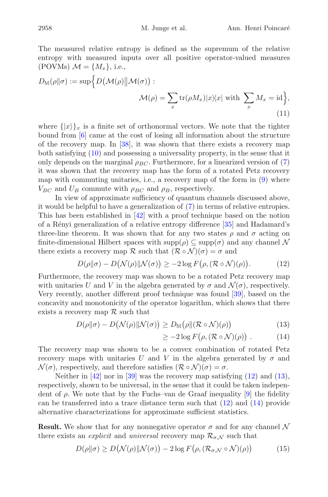The measured relative entropy is defined as the supremum of the relative entropy with measured inputs over all positive operator-valued measures (POVMs)  $\mathcal{M} = \{M_x\}$ , i.e.,

$$
D_{\mathbb{M}}(\rho \| \sigma) := \sup \Big\{ D(\mathcal{M}(\rho) \| \mathcal{M}(\sigma)) : \\ \mathcal{M}(\rho) = \sum_{x} \text{tr}(\rho M_x) |x \rangle \langle x| \text{ with } \sum_{x} M_x = \text{id} \Big\},
$$
\n(11)

where  $\{|x\rangle\}_x$  is a finite set of orthonormal vectors. We note that the tighter bound from [\[6](#page-21-1)] came at the cost of losing all information about the structure of the recovery map. In [\[38\]](#page-23-4), it was shown that there exists a recovery map both satisfying [\(10\)](#page-3-1) and possessing a universality property, in the sense that it only depends on the marginal  $\rho_{BC}$ . Furthermore, for a linearized version of [\(7\)](#page-3-2) it was shown that the recovery map has the form of a rotated Petz recovery map with commuting unitaries, i.e., a recovery map of the form in [\(9\)](#page-3-3) where  $V_{BC}$  and  $U_B$  commute with  $\rho_{BC}$  and  $\rho_B$ , respectively.

In view of approximate sufficiency of quantum channels discussed above, it would be helpful to have a generalization of [\(7\)](#page-3-2) in terms of relative entropies. This has been established in [\[42\]](#page-23-5) with a proof technique based on the notion of a R´enyi generalization of a relative entropy difference [\[35\]](#page-23-6) and Hadamard's three-line theorem. It was shown that for any two states  $\rho$  and  $\sigma$  acting on finite-dimensional Hilbert spaces with  $\text{supp}(\rho) \subseteq \text{supp}(\sigma)$  and any channel N there exists a recovery map R such that  $(\mathcal{R} \circ \mathcal{N})(\sigma) = \sigma$  and

$$
D(\rho||\sigma) - D(\mathcal{N}(\rho)||\mathcal{N}(\sigma)) \ge -2\log F(\rho, (\mathcal{R} \circ \mathcal{N})(\rho)). \tag{12}
$$

Furthermore, the recovery map was shown to be a rotated Petz recovery map with unitaries U and V in the algebra generated by  $\sigma$  and  $\mathcal{N}(\sigma)$ , respectively. Very recently, another different proof technique was found [\[39](#page-23-7)], based on the concavity and monotonicity of the operator logarithm, which shows that there exists a recovery map  $\mathcal R$  such that

$$
D(\rho||\sigma) - D(\mathcal{N}(\rho)||\mathcal{N}(\sigma)) \ge D_{\mathbb{M}}(\rho||(\mathcal{R} \circ \mathcal{N})(\rho))
$$
\n(13)

<span id="page-4-3"></span><span id="page-4-2"></span><span id="page-4-1"></span><span id="page-4-0"></span>
$$
\geq -2\log F\big(\rho, (\mathcal{R} \circ \mathcal{N})(\rho)\big) \ . \tag{14}
$$

The recovery map was shown to be a convex combination of rotated Petz recovery maps with unitaries U and V in the algebra generated by  $\sigma$  and  $\mathcal{N}(\sigma)$ , respectively, and therefore satisfies  $(\mathcal{R} \circ \mathcal{N})(\sigma) = \sigma$ .

Neither in  $[42]$  $[42]$  nor in  $[39]$  was the recovery map satisfying  $(12)$  and  $(13)$ , respectively, shown to be universal, in the sense that it could be taken independent of  $\rho$ . We note that by the Fuchs–van de Graaf inequality [\[9\]](#page-21-3) the fidelity can be transferred into a trace distance term such that  $(12)$  and  $(14)$  provide alternative characterizations for approximate sufficient statistics.

**Result.** We show that for any nonnegative operator  $\sigma$  and for any channel N there exists an *explicit* and *universal* recovery map  $\mathcal{R}_{\sigma, \mathcal{N}}$  such that

$$
D(\rho||\sigma) \ge D\big(\mathcal{N}(\rho)||\mathcal{N}(\sigma)\big) - 2\log F\big(\rho, (\mathcal{R}_{\sigma,\mathcal{N}} \circ \mathcal{N})(\rho)\big) \tag{15}
$$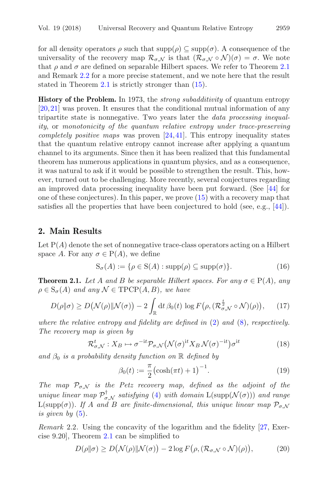for all density operators  $\rho$  such that  $\text{supp}(\rho) \subseteq \text{supp}(\sigma)$ . A consequence of the universality of the recovery map  $\mathcal{R}_{\sigma,\mathcal{N}}$  is that  $(\mathcal{R}_{\sigma,\mathcal{N}}\circ\mathcal{N})(\sigma)=\sigma$ . We note that  $\rho$  and  $\sigma$  are defined on separable Hilbert spaces. We refer to Theorem [2.1](#page-5-0) and Remark [2.2](#page-5-1) for a more precise statement, and we note here that the result stated in Theorem [2.1](#page-5-0) is strictly stronger than [\(15\)](#page-4-3).

**History of the Problem.** In 1973, the *strong subadditivity* of quantum entropy [\[20,](#page-22-10)[21\]](#page-22-11) was proven. It ensures that the conditional mutual information of any tripartite state is nonnegative. Two years later the *data processing inequality*, or *monotonicity of the quantum relative entropy under trace-preserving completely positive maps* was proven [\[24](#page-22-5)[,41](#page-23-0)]. This entropy inequality states that the quantum relative entropy cannot increase after applying a quantum channel to its arguments. Since then it has been realized that this fundamental theorem has numerous applications in quantum physics, and as a consequence, it was natural to ask if it would be possible to strengthen the result. This, however, turned out to be challenging. More recently, several conjectures regarding an improved data processing inequality have been put forward. (See [\[44\]](#page-23-1) for one of these conjectures). In this paper, we prove [\(15\)](#page-4-3) with a recovery map that satisfies all the properties that have been conjectured to hold (see, e.g., [\[44](#page-23-1)]).

#### **2. Main Results**

Let  $P(A)$  denote the set of nonnegative trace-class operators acting on a Hilbert space A. For any  $\sigma \in P(A)$ , we define

$$
S_{\sigma}(A) := \{ \rho \in S(A) : \text{supp}(\rho) \subseteq \text{supp}(\sigma) \}. \tag{16}
$$

<span id="page-5-0"></span>**Theorem 2.1.** Let A and B be separable Hilbert spaces. For any  $\sigma \in P(A)$ , any  $\rho \in S_{\sigma}(A)$  *and any*  $\mathcal{N} \in \mathrm{TPCP}(A, B)$ *, we have* 

$$
D(\rho \| \sigma) \ge D\big(\mathcal{N}(\rho) \| \mathcal{N}(\sigma)\big) - 2 \int_{\mathbb{R}} dt \, \beta_0(t) \, \log F\big(\rho, (\mathcal{R}_{\sigma,\mathcal{N}}^{\frac{t}{2}} \circ \mathcal{N})(\rho)\big), \qquad (17)
$$

*where the relative entropy and fidelity are defined in* [\(2\)](#page-2-2) *and* [\(8\)](#page-3-4)*, respectively. The recovery map is given by*

$$
\mathcal{R}_{\sigma,\mathcal{N}}^t: X_B \mapsto \sigma^{-\mathrm{i}t} \mathcal{P}_{\sigma,\mathcal{N}}(\mathcal{N}(\sigma)^{\mathrm{i}t} X_B \mathcal{N}(\sigma)^{-\mathrm{i}t}) \sigma^{\mathrm{i}t} \tag{18}
$$

and  $\beta_0$  *is a probability density function on* R *defined by* 

<span id="page-5-5"></span><span id="page-5-4"></span><span id="page-5-3"></span><span id="page-5-2"></span>
$$
\beta_0(t) := \frac{\pi}{2} \left( \cosh(\pi t) + 1 \right)^{-1}.
$$
\n(19)

*The map*  $\mathcal{P}_{\sigma,\mathcal{N}}$  *is the Petz recovery map, defined as the adjoint of the unique linear map*  $\mathcal{P}_{\sigma,\mathcal{N}}^{\dagger}$  *satisfying* [\(4\)](#page-2-3) *with domain*  $L(\text{supp}(\mathcal{N}(\sigma)))$  *and range*<br> $L(\text{supp}(\mathcal{I}))$  *If* A and B are finite dimensional, this unique linear map D .  $L(\text{supp}(\sigma))$ *. If* A and B are finite-dimensional, this unique linear map  $\mathcal{P}_{\sigma,\mathcal{N}}$ *is given by* [\(5\)](#page-2-4)*.*

<span id="page-5-1"></span>*Remark* 2.2*.* Using the concavity of the logarithm and the fidelity [\[27](#page-22-12), Exercise 9.20], Theorem [2.1](#page-5-0) can be simplified to

$$
D(\rho \| \sigma) \ge D\big(\mathcal{N}(\rho) \| \mathcal{N}(\sigma)\big) - 2\log F\big(\rho, (\mathcal{R}_{\sigma,\mathcal{N}} \circ \mathcal{N})(\rho)\big),\tag{20}
$$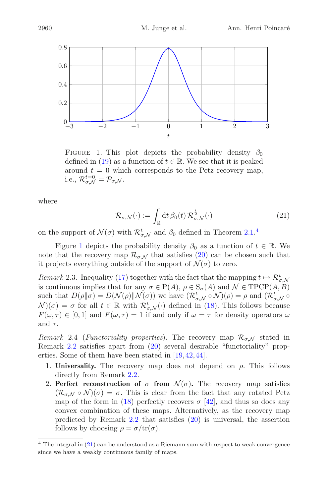

<span id="page-6-1"></span>FIGURE 1. This plot depicts the probability density  $\beta_0$ defined in [\(19\)](#page-5-2) as a function of  $t \in \mathbb{R}$ . We see that it is peaked around  $t = 0$  which corresponds to the Petz recovery map, i.e.,  $\mathcal{R}_{\sigma,\mathcal{N}}^{t=0} = \mathcal{P}_{\sigma,\mathcal{N}}$ .

where

<span id="page-6-2"></span>
$$
\mathcal{R}_{\sigma,\mathcal{N}}(\cdot) := \int_{\mathbb{R}} \mathrm{d}t \,\beta_0(t) \,\mathcal{R}_{\sigma,\mathcal{N}}^{\frac{t}{2}}(\cdot) \tag{21}
$$

on the support of  $\mathcal{N}(\sigma)$  with  $\mathcal{R}^t_{\sigma,\mathcal{N}}$  and  $\beta_0$  defined in Theorem [2.1.](#page-5-0)<sup>[4](#page-6-0)</sup>

Figure [1](#page-6-1) depicts the probability density  $\beta_0$  as a function of  $t \in \mathbb{R}$ . We note that the recovery map  $\mathcal{R}_{\sigma,\mathcal{N}}$  that satisfies [\(20\)](#page-5-3) can be chosen such that it projects everything outside of the support of  $\mathcal{N}(\sigma)$  to zero.

*Remark* 2.3. Inequality [\(17\)](#page-5-4) together with the fact that the mapping  $t \mapsto \mathcal{R}_{\sigma,\mathcal{N}}^t$ <br>is continuous implies that for any  $\sigma \in \mathcal{P}(A)$ ,  $\sigma \in \mathcal{S}(A)$  and  $\mathcal{N} \in \mathcal{TPCP}(A, B)$ is continuous implies that for any  $\sigma \in P(A)$ ,  $\rho \in S_{\sigma}(A)$  and  $\mathcal{N} \in TPCP(A, B)$ such that  $D(\rho || \sigma) = D(\mathcal{N}(\rho) || \mathcal{N}(\sigma))$  we have  $(\mathcal{R}^t_{\sigma,\mathcal{N}} \circ \mathcal{N})(\rho) = \rho$  and  $(\mathcal{R}^t_{\sigma,\mathcal{N}} \circ \mathcal{N})(\sigma) = \sigma$  for all  $t \in \mathbb{R}$  with  $\mathcal{R}^t$  ( ) defined in (18). This follows because  $\mathcal{N}(\sigma) = \sigma$  for all  $t \in \mathbb{R}$  with  $\mathcal{R}^t_{\sigma,\mathcal{N}}(\cdot)$  defined in [\(18\)](#page-5-5). This follows because  $F(\omega, \tau) \in [0, 1]$  and  $F(\omega, \tau) = 1$  if and only if  $\omega = \tau$  for density operators  $\omega$ and  $\tau$ .

*Remark* 2.4 (*Functoriality properties*). The recovery map  $\mathcal{R}_{\sigma,\mathcal{N}}$  stated in Remark [2.2](#page-5-1) satisfies apart from [\(20\)](#page-5-3) several desirable "functoriality" properties. Some of them have been stated in [\[19,](#page-22-13)[42](#page-23-5)[,44](#page-23-1)].

- 1. **Universality.** The recovery map does not depend on  $\rho$ . This follows directly from Remark [2.2.](#page-5-1)
- 2. **Perfect reconstruction of**  $\sigma$  **from**  $\mathcal{N}(\sigma)$ . The recovery map satisfies  $(\mathcal{R}_{\sigma,\mathcal{N}}\circ\mathcal{N})(\sigma)=\sigma$ . This is clear from the fact that any rotated Petz map of the form in [\(18\)](#page-5-5) perfectly recovers  $\sigma$  [\[42\]](#page-23-5), and thus so does any convex combination of these maps. Alternatively, as the recovery map predicted by Remark [2.2](#page-5-1) that satisfies [\(20\)](#page-5-3) is universal, the assertion follows by choosing  $\rho = \sigma/\text{tr}(\sigma)$ .

<span id="page-6-0"></span><sup>4</sup> The integral in [\(21\)](#page-6-2) can be understood as a Riemann sum with respect to weak convergence since we have a weakly continuous family of maps.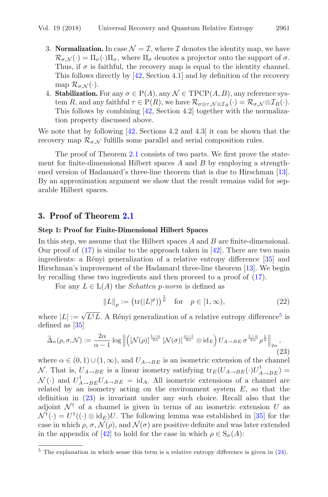- 3. **Normalization.** In case  $\mathcal{N} = \mathcal{I}$ , where  $\mathcal{I}$  denotes the identity map, we have  $\mathcal{R}_{\sigma,N}(\cdot)=\Pi_{\sigma}(\cdot)\Pi_{\sigma}$ , where  $\Pi_{\sigma}$  denotes a projector onto the support of  $\sigma$ . Thus, if  $\sigma$  is faithful, the recovery map is equal to the identity channel. This follows directly by [\[42](#page-23-5), Section 4.1] and by definition of the recovery map  $\mathcal{R}_{\sigma}$ <sub>N</sub>(·).
- 4. **Stabilization.** For any  $\sigma \in P(A)$ , any  $\mathcal{N} \in \text{TPCP}(A, B)$ , any reference system R, and any faithful  $\tau \in P(R)$ , we have  $\mathcal{R}_{\sigma \otimes \tau, \mathcal{N} \otimes \mathcal{I}_R}(\cdot) = \mathcal{R}_{\sigma, \mathcal{N}} \otimes \mathcal{I}_R(\cdot)$ . This follows by combining [\[42,](#page-23-5) Section 4.2] together with the normalization property discussed above.

We note that by following [\[42](#page-23-5), Sections 4.2 and 4.3] it can be shown that the recovery map  $\mathcal{R}_{\sigma,\mathcal{N}}$  fulfills some parallel and serial composition rules.

The proof of Theorem [2.1](#page-5-0) consists of two parts. We first prove the statement for finite-dimensional Hilbert spaces  $A$  and  $B$  by employing a strengthened version of Hadamard's three-line theorem that is due to Hirschman [\[13\]](#page-22-14). By an approximation argument we show that the result remains valid for separable Hilbert spaces.

## **3. Proof of Theorem [2.1](#page-5-0)**

#### **Step 1: Proof for Finite-Dimensional Hilbert Spaces**

In this step, we assume that the Hilbert spaces  $A$  and  $B$  are finite-dimensional. Our proof of  $(17)$  is similar to the approach taken in [\[42\]](#page-23-5). There are two main ingredients: a Rényi generalization of a relative entropy difference [\[35](#page-23-6)] and Hirschman's improvement of the Hadamard three-line theorem [\[13](#page-22-14)]. We begin by recalling these two ingredients and then proceed to a proof of [\(17\)](#page-5-4).

For any  $L \in L(A)$  the *Schatten p-norm* is defined as

$$
||L||_p := (\text{tr}(|L|^p))^{\frac{1}{p}} \text{ for } p \in [1, \infty),
$$
 (22)

where  $|L| := \sqrt{L^{\dagger}L}$ . A Rényi generalization of a relative entropy difference<sup>[5](#page-7-0)</sup> is defined as [35] defined as [\[35](#page-23-6)]

<span id="page-7-1"></span>
$$
\widetilde{\Delta}_{\alpha}(\rho,\sigma,\mathcal{N}) := \frac{2\alpha}{\alpha - 1} \log \left\| \left( \left[ \mathcal{N}(\rho) \right]^{\frac{1 - \alpha}{2\alpha}} \left[ \mathcal{N}(\sigma) \right]^{\frac{\alpha - 1}{2\alpha}} \otimes \operatorname{id}_{E} \right) U_{A \to BE} \sigma^{\frac{1 - \alpha}{2\alpha}} \rho^{\frac{1}{2}} \right\|_{2\alpha},\tag{23}
$$

where  $\alpha \in (0,1) \cup (1,\infty)$ , and  $U_{A\rightarrow BE}$  is an isometric extension of the channel N. That is,  $U_{A\rightarrow BE}$  is a linear isometry satisfying  ${\rm tr}_E(U_{A\rightarrow BE}(\cdot)U_{A\rightarrow BE}^{\dagger}) =$ <br> $N(\cdot)$  and  $U^{\dagger}$  $\mathcal{N}(\cdot)$  and  $U_{A\rightarrow BE}^{\dagger}U_{A\rightarrow BE} = \text{id}_A$ . All isometric extensions of a channel are<br>related by an isometry acting on the environment system E, so that the related by an isometry acting on the environment system  $E$ , so that the definition in [\(23\)](#page-7-1) is invariant under any such choice. Recall also that the adjoint  $\mathcal{N}^{\dagger}$  of a channel is given in terms of an isometric extension U as  $\mathcal{N}^{\dagger}(\cdot) = U^{\dagger}((\cdot) \otimes id_E)U$ . The following lemma was established in [\[35\]](#page-23-6) for the case in which  $\rho$ ,  $\sigma$ ,  $\mathcal{N}(\rho)$ , and  $\mathcal{N}(\sigma)$  are positive definite and was later extended in the appendix of [\[42](#page-23-5)] to hold for the case in which  $\rho \in S_{\sigma}(A)$ :

<span id="page-7-0"></span><sup>5</sup> The explanation in which sense this term is a relative entropy difference is given in [\(24\)](#page-8-0).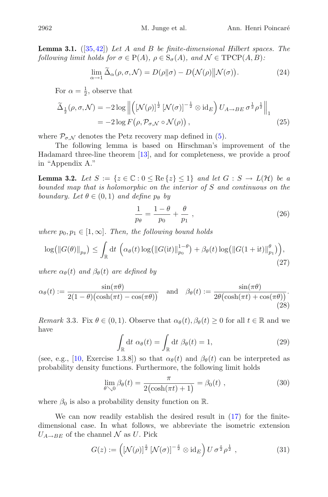**Lemma 3.1.** ([\[35,](#page-23-6)[42](#page-23-5)]) *Let* A *and* B *be finite-dimensional Hilbert spaces. The following limit holds for*  $\sigma \in P(A)$ *,*  $\rho \in S_{\sigma}(A)$ *, and*  $\mathcal{N} \in \text{TPCP}(A, B)$ *:* 

<span id="page-8-0"></span>
$$
\lim_{\alpha \to 1} \widetilde{\Delta}_{\alpha}(\rho, \sigma, \mathcal{N}) = D(\rho \| \sigma) - D(\mathcal{N}(\rho) \| \mathcal{N}(\sigma)). \tag{24}
$$

For  $\alpha = \frac{1}{2}$ , observe that

$$
\widetilde{\Delta}_{\frac{1}{2}}(\rho, \sigma, \mathcal{N}) = -2 \log \left\| \left( \left[ \mathcal{N}(\rho) \right]^{\frac{1}{2}} \left[ \mathcal{N}(\sigma) \right]^{-\frac{1}{2}} \otimes \operatorname{id}_{E} \right) U_{A \to BE} \sigma^{\frac{1}{2}} \rho^{\frac{1}{2}} \right\|_{1}
$$
\n
$$
= -2 \log F(\rho, \mathcal{P}_{\sigma, \mathcal{N}} \circ \mathcal{N}(\rho)), \tag{25}
$$

where  $\mathcal{P}_{\sigma,\mathcal{N}}$  denotes the Petz recovery map defined in [\(5\)](#page-2-4).

The following lemma is based on Hirschman's improvement of the Hadamard three-line theorem [\[13\]](#page-22-14), and for completeness, we provide a proof in "Appendix A."

<span id="page-8-1"></span>**Lemma 3.2.** *Let*  $S := \{z \in \mathbb{C} : 0 \leq \text{Re}\{z\} \leq 1\}$  *and let*  $G : S \to L(\mathcal{H})$  *be a bounded map that is holomorphic on the interior of* S *and continuous on the boundary.* Let  $\theta \in (0, 1)$  *and define*  $p_{\theta}$  *by* 

$$
\frac{1}{p_{\theta}} = \frac{1 - \theta}{p_0} + \frac{\theta}{p_1} \,,\tag{26}
$$

*where*  $p_0, p_1 \in [1, \infty]$ *. Then, the following bound holds* 

<span id="page-8-2"></span>
$$
\log(\|G(\theta)\|_{p_{\theta}}) \leq \int_{\mathbb{R}} dt \, \left( \alpha_{\theta}(t) \log(\|G(it)\|_{p_0}^{1-\theta}) + \beta_{\theta}(t) \log(\|G(1+it)\|_{p_1}^{\theta}) \right),\tag{27}
$$

*where*  $\alpha_{\theta}(t)$  *and*  $\beta_{\theta}(t)$  *are defined by* 

$$
\alpha_{\theta}(t) := \frac{\sin(\pi\theta)}{2(1-\theta)(\cosh(\pi t) - \cos(\pi\theta))} \quad \text{and} \quad \beta_{\theta}(t) := \frac{\sin(\pi\theta)}{2\theta(\cosh(\pi t) + \cos(\pi\theta))}.
$$
\n(28)

*Remark* 3.3. Fix  $\theta \in (0, 1)$ . Observe that  $\alpha_{\theta}(t), \beta_{\theta}(t) \geq 0$  for all  $t \in \mathbb{R}$  and we have

<span id="page-8-4"></span>
$$
\int_{\mathbb{R}} \mathrm{d}t \; \alpha_{\theta}(t) = \int_{\mathbb{R}} \mathrm{d}t \; \beta_{\theta}(t) = 1,\tag{29}
$$

(see, e.g., [\[10](#page-21-4), Exercise 1.3.8]) so that  $\alpha_{\theta}(t)$  and  $\beta_{\theta}(t)$  can be interpreted as probability density functions. Furthermore, the following limit holds

<span id="page-8-3"></span>
$$
\lim_{\theta \searrow 0} \beta_{\theta}(t) = \frac{\pi}{2(\cosh(\pi t) + 1)} = \beta_0(t) , \qquad (30)
$$

where  $\beta_0$  is also a probability density function on R.

We can now readily establish the desired result in [\(17\)](#page-5-4) for the finitedimensional case. In what follows, we abbreviate the isometric extension  $U_{A\rightarrow BE}$  of the channel N as U. Pick

$$
G(z) := \left( \left[ \mathcal{N}(\rho) \right]^{\frac{z}{2}} \left[ \mathcal{N}(\sigma) \right]^{-\frac{z}{2}} \otimes \mathrm{id}_E \right) U \sigma^{\frac{z}{2}} \rho^{\frac{1}{2}}, \tag{31}
$$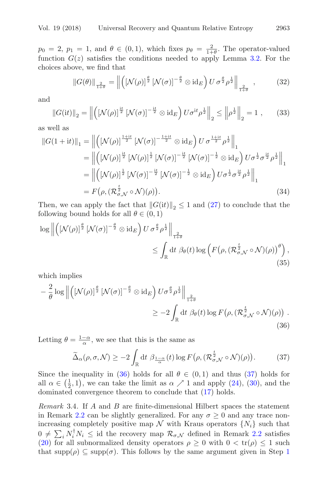$p_0 = 2$ ,  $p_1 = 1$ , and  $\theta \in (0, 1)$ , which fixes  $p_\theta = \frac{2}{1+\theta}$ . The operator-valued function  $G(z)$  satisfies the conditions needed to apply Lemma 3.2. For the function  $G(z)$  satisfies the conditions needed to apply Lemma [3.2.](#page-8-1) For the choices above, we find that

$$
\|G(\theta)\|_{\frac{2}{1+\theta}} = \left\| \left( \left[ \mathcal{N}(\rho) \right]^{\frac{\theta}{2}} \left[ \mathcal{N}(\sigma) \right]^{-\frac{\theta}{2}} \otimes \mathrm{id}_E \right) U \sigma^{\frac{\theta}{2}} \rho^{\frac{1}{2}} \right\|_{\frac{2}{1+\theta}}, \tag{32}
$$

and

$$
||G(it)||_2 = \left\| \left( \left[ \mathcal{N}(\rho) \right]^{\frac{it}{2}} \left[ \mathcal{N}(\sigma) \right]^{-\frac{it}{2}} \otimes id_E \right) U \sigma^{it} \rho^{\frac{1}{2}} \right\|_2 \le \left\| \rho^{\frac{1}{2}} \right\|_2 = 1 , \qquad (33)
$$

as well as

$$
||G(1+it)||_1 = ||\left([\mathcal{N}(\rho)]^{\frac{1+it}{2}} [\mathcal{N}(\sigma)]^{-\frac{1+it}{2}} \otimes id_E\right) U \sigma^{\frac{1+it}{2}} \rho^{\frac{1}{2}}||_1
$$
  
\n
$$
= ||\left([\mathcal{N}(\rho)]^{\frac{it}{2}} [\mathcal{N}(\rho)]^{\frac{1}{2}} [\mathcal{N}(\sigma)]^{-\frac{it}{2}} [\mathcal{N}(\sigma)]^{-\frac{1}{2}} \otimes id_E\right) U \sigma^{\frac{1}{2}} \sigma^{\frac{it}{2}} \rho^{\frac{1}{2}}||_1
$$
  
\n
$$
= ||\left([\mathcal{N}(\rho)]^{\frac{1}{2}} [\mathcal{N}(\sigma)]^{-\frac{it}{2}} [\mathcal{N}(\sigma)]^{-\frac{1}{2}} \otimes id_E\right) U \sigma^{\frac{1}{2}} \sigma^{\frac{it}{2}} \rho^{\frac{1}{2}}||_1
$$
  
\n
$$
= F(\rho, (\mathcal{R}_{\sigma,\mathcal{N}}^{\frac{t}{2}} \circ \mathcal{N})(\rho)). \tag{34}
$$

Then, we can apply the fact that  $||G(it)||_2 \leq 1$  and  $(27)$  to conclude that the following bound holds for all  $\theta \in (0,1)$ 

$$
\log \left\| \left( \left[ \mathcal{N}(\rho) \right]^{\frac{\theta}{2}} \left[ \mathcal{N}(\sigma) \right]^{-\frac{\theta}{2}} \otimes \operatorname{id}_E \right) U \sigma^{\frac{\theta}{2}} \rho^{\frac{1}{2}} \right\|_{\frac{2}{1+\theta}} \leq \int_{\mathbb{R}} \operatorname{dt} \beta_{\theta}(t) \log \left( F(\rho, (\mathcal{R}_{\sigma,\mathcal{N}}^{\frac{t}{2}} \circ \mathcal{N})(\rho))^{\theta} \right), \tag{35}
$$

which implies

$$
-\frac{2}{\theta}\log \left\| \left( \left[ \mathcal{N}(\rho) \right]^{\frac{\theta}{2}} \left[ \mathcal{N}(\sigma) \right]^{-\frac{\theta}{2}} \otimes \mathrm{id}_{E} \right) U \sigma^{\frac{\theta}{2}} \rho^{\frac{1}{2}} \right\|_{\frac{2}{1+\theta}}
$$
  

$$
\geq -2 \int_{\mathbb{R}} \mathrm{d}t \; \beta_{\theta}(t) \log F \left( \rho, \left( \mathcal{R}_{\sigma, \mathcal{N}}^{\frac{t}{2}} \circ \mathcal{N} \right) (\rho) \right) .
$$
\n(36)

Letting  $\theta = \frac{1-\alpha}{\alpha}$ , we see that this is the same as

<span id="page-9-1"></span><span id="page-9-0"></span>
$$
\widetilde{\Delta}_{\alpha}(\rho,\sigma,\mathcal{N}) \ge -2 \int_{\mathbb{R}} dt \; \beta_{\frac{1-\alpha}{\alpha}}(t) \log F(\rho,(\mathcal{R}_{\sigma,\mathcal{N}}^{\frac{t}{2}} \circ \mathcal{N})(\rho)). \tag{37}
$$

Since the inequality in [\(36\)](#page-9-0) holds for all  $\theta \in (0,1)$  and thus [\(37\)](#page-9-1) holds for all  $\alpha \in (\frac{1}{2}, 1)$ , we can take the limit as  $\alpha \nearrow 1$  and apply [\(24\)](#page-8-0), [\(30\)](#page-8-3), and the dominated convergence theorem to conclude that (17) holds dominated convergence theorem to conclude that [\(17\)](#page-5-4) holds.

<span id="page-9-2"></span>*Remark* 3.4*.* If A and B are finite-dimensional Hilbert spaces the statement in Remark [2.2](#page-5-1) can be slightly generalized. For any  $\sigma \geq 0$  and any trace nonincreasing completely positive map  $\mathcal N$  with Kraus operators  $\{N_i\}$  such that  $0 \neq \sum_i N_i^{\dagger} N_i \leq \text{id}$  the recovery map  $\mathcal{R}_{\sigma,\mathcal{N}}$  defined in Remark [2.2](#page-5-1) satisfies (20) for all subpormalized density operators  $\rho > 0$  with  $0 < tr(\rho) < 1$  such [\(20\)](#page-5-3) for all subnormalized density operators  $\rho \geq 0$  with  $0 < tr(\rho) \leq 1$  such that  $\text{supp}(\rho) \subseteq \text{supp}(\sigma)$ . This follows by the same argument given in Step 1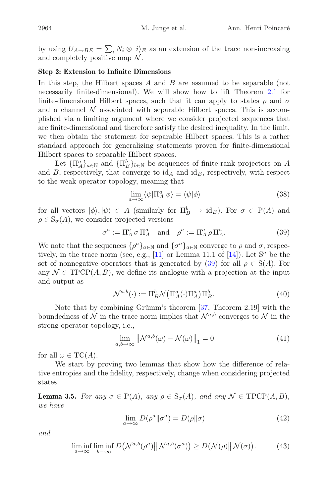by using  $U_{A\rightarrow BE} = \sum_i N_i \otimes |i\rangle_E$  as an extension of the trace non-increasing and completely positive map  $\mathcal N$ and completely positive map  $\mathcal N$ .

#### **Step 2: Extension to Infinite Dimensions**

In this step, the Hilbert spaces  $A$  and  $B$  are assumed to be separable (not necessarily finite-dimensional). We will show how to lift Theorem [2.1](#page-5-0) for finite-dimensional Hilbert spaces, such that it can apply to states  $\rho$  and  $\sigma$ and a channel  $\mathcal N$  associated with separable Hilbert spaces. This is accomplished via a limiting argument where we consider projected sequences that are finite-dimensional and therefore satisfy the desired inequality. In the limit, we then obtain the statement for separable Hilbert spaces. This is a rather standard approach for generalizing statements proven for finite-dimensional Hilbert spaces to separable Hilbert spaces.

Let  ${\{\Pi_A^a\}}_{a \in \mathbb{N}}$  and  ${\{\Pi_B^b\}}_{b \in \mathbb{N}}$  be sequences of finite-rank projectors on A<br>B respectively that converge to id a and id a respectively with respect and  $B$ , respectively, that converge to  $\mathrm{id}_A$  and  $\mathrm{id}_B$ , respectively, with respect to the weak operator topology, meaning that

<span id="page-10-0"></span>
$$
\lim_{a \to \infty} \langle \psi | \Pi_A^a | \phi \rangle = \langle \psi | \phi \rangle \tag{38}
$$

for all vectors  $|\phi\rangle, |\psi\rangle \in A$  (similarly for  $\Pi_B^b \to \mathrm{id}_B$ ). For  $\sigma \in P(A)$  and  $a \in S$  (4) we consider projected versions  $\rho \in S_{\sigma}(A)$ , we consider projected versions

$$
\sigma^a := \Pi_A^a \sigma \Pi_A^a \quad \text{and} \quad \rho^a := \Pi_A^a \rho \Pi_A^a. \tag{39}
$$

We note that the sequences  $\{\rho^a\}_{a\in\mathbb{N}}$  and  $\{\sigma^a\}_{a\in\mathbb{N}}$  converge to  $\rho$  and  $\sigma$ , respectively in the trace norm (see e.g. [11] or Lemma 11.1 of [14]). Let  $S^a$  be the tively, in the trace norm (see, e.g., [\[11](#page-21-5)] or Lemma 11.1 of [\[14\]](#page-22-15)). Let  $S^a$  be the set of nonnegative operators that is generated by [\(39\)](#page-10-0) for all  $\rho \in S(A)$ . For any  $\mathcal{N} \in \text{TPCP}(A, B)$ , we define its analogue with a projection at the input and output as

$$
\mathcal{N}^{a,b}(\cdot) := \Pi_B^b \mathcal{N}\big(\Pi_A^a(\cdot)\Pi_A^a\big)\Pi_B^b. \tag{40}
$$

Note that by combining Grümm's theorem  $[37,$  Theorem 2.19] with the boundedness of  $\mathcal N$  in the trace norm implies that  $\mathcal N^{a,b}$  converges to  $\mathcal N$  in the strong operator topology, i.e.,

$$
\lim_{a,b\to\infty} \left\| \mathcal{N}^{a,b}(\omega) - \mathcal{N}(\omega) \right\|_{1} = 0 \tag{41}
$$

for all  $\omega \in \mathrm{TC}(A)$ .

We start by proving two lemmas that show how the difference of relative entropies and the fidelity, respectively, change when considering projected states.

<span id="page-10-1"></span>**Lemma 3.5.** *For any*  $\sigma \in P(A)$ *, any*  $\rho \in S_{\sigma}(A)$ *, and any*  $\mathcal{N} \in \text{TPCP}(A, B)$ *, we have*

$$
\lim_{a \to \infty} D(\rho^a || \sigma^a) = D(\rho || \sigma)
$$
\n(42)

*and*

$$
\liminf_{a \to \infty} \liminf_{b \to \infty} D\big(\mathcal{N}^{a,b}(\rho^a) \big \| \mathcal{N}^{a,b}(\sigma^a)\big) \ge D\big(\mathcal{N}(\rho) \big \| \mathcal{N}(\sigma)\big). \tag{43}
$$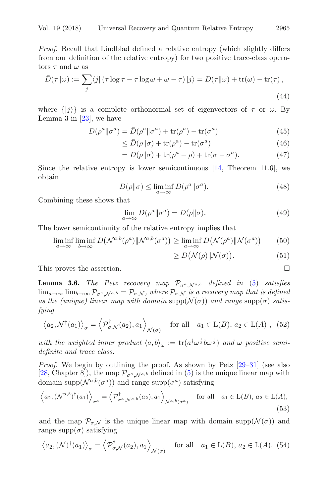*Proof.* Recall that Lindblad defined a relative entropy (which slightly differs from our definition of the relative entropy) for two positive trace-class operators  $\tau$  and  $\omega$  as

$$
\bar{D}(\tau||\omega) := \sum_{j} \langle j | (\tau \log \tau - \tau \log \omega + \omega - \tau) | j \rangle = D(\tau||\omega) + \text{tr}(\omega) - \text{tr}(\tau), \tag{44}
$$

where  $\{|j\rangle\}$  is a complete orthonormal set of eigenvectors of  $\tau$  or  $\omega$ . By Lemma 3 in  $[23]$  $[23]$ , we have

$$
D(\rho^a \|\sigma^a) = \bar{D}(\rho^a \|\sigma^a) + \text{tr}(\rho^a) - \text{tr}(\sigma^a)
$$
(45)

$$
\leq \bar{D}(\rho||\sigma) + \text{tr}(\rho^a) - \text{tr}(\sigma^a) \tag{46}
$$

$$
= D(\rho||\sigma) + \text{tr}(\rho^a - \rho) + \text{tr}(\sigma - \sigma^a). \tag{47}
$$

Since the relative entropy is lower semicontinuous  $[14,$  Theorem 11.6], we obtain

$$
D(\rho \| \sigma) \le \liminf_{a \to \infty} D(\rho^a \| \sigma^a). \tag{48}
$$

Combining these shows that

$$
\lim_{a \to \infty} D(\rho^a || \sigma^a) = D(\rho || \sigma).
$$
\n(49)

The lower semicontinuity of the relative entropy implies that

$$
\liminf_{a \to \infty} \liminf_{b \to \infty} D\big(\mathcal{N}^{a,b}(\rho^a)\|\mathcal{N}^{a,b}(\sigma^a)\big) \ge \liminf_{a \to \infty} D\big(\mathcal{N}(\rho^a)\|\mathcal{N}(\sigma^a)\big) \tag{50}
$$

$$
\geq D\big(\mathcal{N}(\rho)\|\mathcal{N}(\sigma)\big). \tag{51}
$$

This proves the assertion.  $\Box$ 

<span id="page-11-2"></span>**Lemma 3.6.** *The Petz recovery map*  $\mathcal{P}_{\sigma^a, \mathcal{N}^{a,b}}$  *defined in* [\(5\)](#page-2-4) *satisfies*  $\lim_{a\to\infty}\lim_{b\to\infty}\mathcal{P}_{\sigma^a,N^{a,b}}=\mathcal{P}_{\sigma,N}$ , where  $\mathcal{P}_{\sigma,N}$  is a recovery map that is defined as the (unique) linear map with domain  $\text{supp}(\mathcal{N}(\sigma))$  and range  $\text{supp}(\sigma)$  satis*fying*

$$
\langle a_2, \mathcal{N}^\dagger(a_1) \rangle_{\sigma} = \langle \mathcal{P}_{\sigma, \mathcal{N}}^\dagger(a_2), a_1 \rangle_{\mathcal{N}(\sigma)} \quad \text{for all} \quad a_1 \in L(B), \, a_2 \in L(A) \;, \tag{52}
$$

with the weighted inner product  $\langle a, b \rangle_{\omega} := \text{tr}(a^{\dagger} \omega^{\frac{1}{2}} b \omega^{\frac{1}{2}})$  and  $\omega$  positive semi-<br>definite and trace class *definite and trace class.*

*Proof.* We begin by outlining the proof. As shown by Petz  $[29-31]$  $[29-31]$  (see also [\[28,](#page-22-8) Chapter 8]), the map  $\mathcal{P}_{\sigma^a, \mathcal{N}^{a,b}}$  defined in [\(5\)](#page-2-4) is the unique linear map with domain supp $(\mathcal{N}^{a,b}(\sigma^a))$  and range supp $(\sigma^a)$  satisfying

$$
\left\langle a_2, \left(\mathcal{N}^{a,b}\right)^{\dagger}(a_1) \right\rangle_{\sigma^a} = \left\langle \mathcal{P}^{\dagger}_{\sigma^a, \mathcal{N}^{a,b}}(a_2), a_1 \right\rangle_{\mathcal{N}^{a,b}(\sigma^a)} \quad \text{for all} \quad a_1 \in \mathcal{L}(B), a_2 \in \mathcal{L}(A),\tag{53}
$$

and the map  $\mathcal{P}_{\sigma,\mathcal{N}}$  is the unique linear map with domain supp $(\mathcal{N}(\sigma))$  and range supp $(\sigma)$  satisfying

$$
\langle a_2, (\mathcal{N})^\dagger (a_1) \rangle_{\sigma} = \langle \mathcal{P}_{\sigma, \mathcal{N}}^\dagger (a_2), a_1 \rangle_{\mathcal{N}(\sigma)} \quad \text{for all} \quad a_1 \in L(B), \ a_2 \in L(A). \tag{54}
$$

<span id="page-11-1"></span><span id="page-11-0"></span>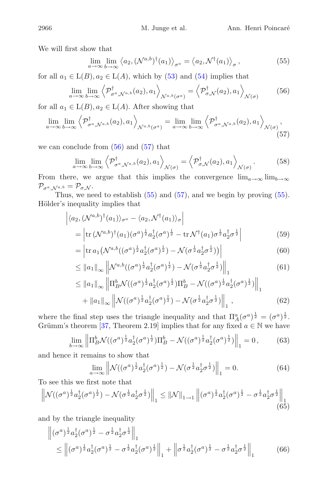We will first show that

<span id="page-12-2"></span><span id="page-12-1"></span><span id="page-12-0"></span>
$$
\lim_{a \to \infty} \lim_{b \to \infty} \langle a_2, (\mathcal{N}^{a,b})^\dagger(a_1) \rangle_{\sigma^a} = \langle a_2, \mathcal{N}^\dagger(a_1) \rangle_{\sigma}, \tag{55}
$$

for all  $a_1 \in L(B)$ ,  $a_2 \in L(A)$ , which by [\(53\)](#page-11-0) and [\(54\)](#page-11-1) implies that

$$
\lim_{a \to \infty} \lim_{b \to \infty} \left\langle \mathcal{P}_{\sigma^a, \mathcal{N}^{a,b}}^{\dagger}(a_2), a_1 \right\rangle_{\mathcal{N}^{a,b}(\sigma^a)} = \left\langle \mathcal{P}_{\sigma, \mathcal{N}}^{\dagger}(a_2), a_1 \right\rangle_{\mathcal{N}(\sigma)}
$$
(56)

for all  $a_1 \in L(B)$ ,  $a_2 \in L(A)$ . After showing that

$$
\lim_{a \to \infty} \lim_{b \to \infty} \left\langle \mathcal{P}_{\sigma^a, \mathcal{N}^{a,b}}^{\dagger}(a_2), a_1 \right\rangle_{\mathcal{N}^{a,b}(\sigma^a)} = \lim_{a \to \infty} \lim_{b \to \infty} \left\langle \mathcal{P}_{\sigma^a, \mathcal{N}^{a,b}}^{\dagger}(a_2), a_1 \right\rangle_{\mathcal{N}(\sigma)},
$$
\n(57)

we can conclude from  $(56)$  and  $(57)$  that

<span id="page-12-4"></span>
$$
\lim_{a \to \infty} \lim_{b \to \infty} \left\langle \mathcal{P}_{\sigma^a, \mathcal{N}^{a,b}}^{\dagger}(a_2), a_1 \right\rangle_{\mathcal{N}(\sigma)} = \left\langle \mathcal{P}_{\sigma, \mathcal{N}}^{\dagger}(a_2), a_1 \right\rangle_{\mathcal{N}(\sigma)}.
$$
 (58)

From there, we argue that this implies the convergence  $\lim_{a\to\infty} \lim_{b\to\infty}$  $\mathcal{P}_{\sigma^a, \mathcal{N}^{a,b}} = \mathcal{P}_{\sigma, \mathcal{N}}.$ 

Thus, we need to establish  $(55)$  and  $(57)$ , and we begin by proving  $(55)$ . Hölder's inequality implies that

$$
\begin{aligned} \left| \langle a_2, (\mathcal{N}^{a,b})^\dagger (a_1) \rangle_{\sigma^a} - \langle a_2, \mathcal{N}^\dagger (a_1) \rangle_{\sigma} \right| \\ &= \left| \text{tr} \left( \mathcal{N}^{a,b} \right)^\dagger (a_1) (\sigma^a)^\frac{1}{2} a_2^\dagger (\sigma^a)^\frac{1}{2} - \text{tr} \, \mathcal{N}^\dagger (a_1) \sigma^\frac{1}{2} a_2^\dagger \sigma^\frac{1}{2} \right| \end{aligned} \tag{59}
$$

$$
= \left| \operatorname{tr} a_1 \left( \mathcal{N}^{a,b} \left( (\sigma^a)^{\frac{1}{2}} a_2^{\dagger} (\sigma^a)^{\frac{1}{2}} \right) - \mathcal{N} (\sigma^{\frac{1}{2}} a_2^{\dagger} \sigma^{\frac{1}{2}}) \right) \right| \tag{60}
$$

$$
\leq ||a_1||_{\infty} \left\| \mathcal{N}^{a,b} \left( (\sigma^a)^{\frac{1}{2}} a_2^{\dagger} (\sigma^a)^{\frac{1}{2}} \right) - \mathcal{N} (\sigma^{\frac{1}{2}} a_2^{\dagger} \sigma^{\frac{1}{2}}) \right\|_1
$$
(61)

$$
\leq ||a_{1}||_{\infty} \left\| \Pi_{B}^{b} \mathcal{N}((\sigma^{a})^{\frac{1}{2}} a_{2}^{\dagger}(\sigma^{a})^{\frac{1}{2}}) \Pi_{B}^{b} - \mathcal{N}((\sigma^{a})^{\frac{1}{2}} a_{2}^{\dagger}(\sigma^{a})^{\frac{1}{2}}) \right\|_{1} + ||a_{1}||_{\infty} \left\| \mathcal{N}((\sigma^{a})^{\frac{1}{2}} a_{2}^{\dagger}(\sigma^{a})^{\frac{1}{2}}) - \mathcal{N}(\sigma^{\frac{1}{2}} a_{2}^{\dagger}(\sigma^{\frac{1}{2}})) \right\|_{1},
$$
\n(62)

where the final step uses the triangle inequality and that  $\Pi_A^a(\sigma^a)^{\frac{1}{2}} = (\sigma^a)^{\frac{1}{2}}$ .<br>Criimm's theorem [37] Theorem 2.19] implies that for any fixed  $a \in \mathbb{N}$  we have Grümm's theorem [\[37,](#page-23-8) Theorem 2.19] implies that for any fixed  $a \in \mathbb{N}$  we have

$$
\lim_{b \to \infty} \left\| \Pi_B^b \mathcal{N}((\sigma^a)^{\frac{1}{2}} a_2^{\dagger} (\sigma^a)^{\frac{1}{2}}) \Pi_B^b - \mathcal{N}((\sigma^a)^{\frac{1}{2}} a_2^{\dagger} (\sigma^a)^{\frac{1}{2}}) \right\|_1 = 0, \tag{63}
$$

and hence it remains to show that

<span id="page-12-3"></span>
$$
\lim_{a \to \infty} \left\| \mathcal{N}((\sigma^a)^{\frac{1}{2}} a_2^{\dagger} (\sigma^a)^{\frac{1}{2}}) - \mathcal{N}(\sigma^{\frac{1}{2}} a_2^{\dagger} \sigma^{\frac{1}{2}}) \right\|_1 = 0.
$$
 (64)

To see this we first note that

$$
\left\| \mathcal{N}((\sigma^a)^{\frac{1}{2}} a_2^{\dagger} (\sigma^a)^{\frac{1}{2}}) - \mathcal{N}(\sigma^{\frac{1}{2}} a_2^{\dagger} \sigma^{\frac{1}{2}}) \right\|_1 \leq \|\mathcal{N}\|_{1 \to 1} \left\| (\sigma^a)^{\frac{1}{2}} a_2^{\dagger} (\sigma^a)^{\frac{1}{2}} - \sigma^{\frac{1}{2}} a_2^{\dagger} \sigma^{\frac{1}{2}} \right\|_1 \tag{65}
$$

and by the triangle inequality

$$
\begin{aligned} & \left\| (\sigma^a)^{\frac{1}{2}} a_2^{\dagger} (\sigma^a)^{\frac{1}{2}} - \sigma^{\frac{1}{2}} a_2^{\dagger} \sigma^{\frac{1}{2}} \right\|_1 \\ & \leq \left\| (\sigma^a)^{\frac{1}{2}} a_2^{\dagger} (\sigma^a)^{\frac{1}{2}} - \sigma^{\frac{1}{2}} a_2^{\dagger} (\sigma^a)^{\frac{1}{2}} \right\|_1 + \left\| \sigma^{\frac{1}{2}} a_2^{\dagger} (\sigma^a)^{\frac{1}{2}} - \sigma^{\frac{1}{2}} a_2^{\dagger} \sigma^{\frac{1}{2}} \right\|_1 \end{aligned} \tag{66}
$$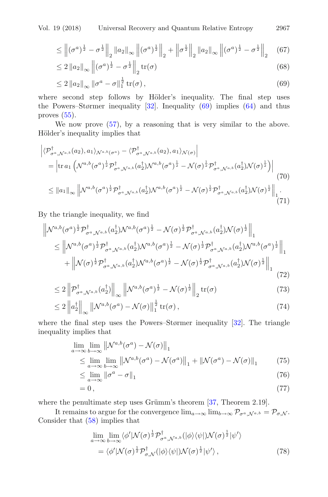$$
\leq \left\| (\sigma^a)^{\frac{1}{2}} - \sigma^{\frac{1}{2}} \right\|_2 \|a_2\|_\infty \left\| (\sigma^a)^{\frac{1}{2}} \right\|_2 + \left\| \sigma^{\frac{1}{2}} \right\|_2 \|a_2\|_\infty \left\| (\sigma^a)^{\frac{1}{2}} - \sigma^{\frac{1}{2}} \right\|_2 \tag{67}
$$

$$
\leq 2 \|a_2\|_{\infty} \left\| (\sigma^a)^{\frac{1}{2}} - \sigma^{\frac{1}{2}} \right\|_2 \operatorname{tr}(\sigma) \tag{68}
$$

$$
\leq 2 \|a_2\|_{\infty} \left\|\sigma^a - \sigma\right\|_{1}^{\frac{1}{2}} \operatorname{tr}(\sigma),\tag{69}
$$

where second step follows by Hölder's inequality. The final step uses the Powers–Størmer inequality  $[32]$ . Inequality  $(69)$  implies  $(64)$  and thus proves [\(55\)](#page-12-2).

We now prove [\(57\)](#page-12-1), by a reasoning that is very similar to the above. Hölder's inequality implies that

$$
\begin{split}\n&\left|\langle\mathcal{P}_{\sigma^{a},\mathcal{N}^{a,b}}^{\dagger}(a_{2}),a_{1}\rangle_{\mathcal{N}^{a,b}(\sigma^{a})}-\langle\mathcal{P}_{\sigma^{a},\mathcal{N}^{a,b}}^{\dagger}(a_{2}),a_{1}\rangle_{\mathcal{N}(\sigma)}\right| \\
&=\left|\text{tr}\,a_{1}\left(\mathcal{N}^{a,b}(\sigma^{a})^{\frac{1}{2}}\mathcal{P}_{\sigma^{a},\mathcal{N}^{a,b}}^{\dagger}(a_{2}^{\dagger})\mathcal{N}^{a,b}(\sigma^{a})^{\frac{1}{2}}-\mathcal{N}(\sigma)^{\frac{1}{2}}\mathcal{P}_{\sigma^{a},\mathcal{N}^{a,b}}^{\dagger}(a_{2}^{\dagger})\mathcal{N}(\sigma)^{\frac{1}{2}}\right)\right| \\
&\leq\left\|a_{1}\right\|_{\infty}\left\|\mathcal{N}^{a,b}(\sigma^{a})^{\frac{1}{2}}\mathcal{P}_{\sigma^{a},\mathcal{N}^{a,b}}^{\dagger}(a_{2}^{\dagger})\mathcal{N}^{a,b}(\sigma^{a})^{\frac{1}{2}}-\mathcal{N}(\sigma)^{\frac{1}{2}}\mathcal{P}_{\sigma^{a},\mathcal{N}^{a,b}}^{\dagger}(a_{2}^{\dagger})\mathcal{N}(\sigma)^{\frac{1}{2}}\right\|_{1}.\n\end{split} \tag{71}
$$

By the triangle inequality, we find

$$
\begin{split} \left\| \mathcal{N}^{a,b}(\sigma^{a})^{\frac{1}{2}} \mathcal{P}^{\dagger}_{\sigma^{a},\mathcal{N}^{a,b}}(a_{2}^{\dagger}) \mathcal{N}^{a,b}(\sigma^{a})^{\frac{1}{2}} - \mathcal{N}(\sigma)^{\frac{1}{2}} \mathcal{P}^{\dagger}_{\sigma^{a},\mathcal{N}^{a,b}}(a_{2}^{\dagger}) \mathcal{N}(\sigma)^{\frac{1}{2}} \right\|_{1} \\ &\leq \left\| \mathcal{N}^{a,b}(\sigma^{a})^{\frac{1}{2}} \mathcal{P}^{\dagger}_{\sigma^{a},\mathcal{N}^{a,b}}(a_{2}^{\dagger}) \mathcal{N}^{a,b}(\sigma^{a})^{\frac{1}{2}} - \mathcal{N}(\sigma)^{\frac{1}{2}} \mathcal{P}^{\dagger}_{\sigma^{a},\mathcal{N}^{a,b}}(a_{2}^{\dagger}) \mathcal{N}^{a,b}(\sigma^{a})^{\frac{1}{2}} \right\|_{1} \\ &+ \left\| \mathcal{N}(\sigma)^{\frac{1}{2}} \mathcal{P}^{\dagger}_{\sigma^{a},\mathcal{N}^{a,b}}(a_{2}^{\dagger}) \mathcal{N}^{a,b}(\sigma^{a})^{\frac{1}{2}} - \mathcal{N}(\sigma)^{\frac{1}{2}} \mathcal{P}^{\dagger}_{\sigma^{a},\mathcal{N}^{a,b}}(a_{2}^{\dagger}) \mathcal{N}(\sigma)^{\frac{1}{2}} \right\|_{1} \end{split} \tag{72}
$$

$$
\leq 2 \left\| \mathcal{P}_{\sigma^a, \mathcal{N}^{a,b}}^{\dagger}(a_2^{\dagger}) \right\|_{\infty} \left\| \mathcal{N}^{a,b}(\sigma^a)^{\frac{1}{2}} - \mathcal{N}(\sigma)^{\frac{1}{2}} \right\|_{2} \operatorname{tr}(\sigma) \tag{73}
$$

$$
\leq 2 \left\| a_2^{\dagger} \right\|_{\infty} \left\| \mathcal{N}^{a,b}(\sigma^a) - \mathcal{N}(\sigma) \right\|_1^{\frac{1}{2}} \text{tr}(\sigma), \tag{74}
$$

where the final step uses the Powers–Størmer inequality [\[32\]](#page-22-17). The triangle inequality implies that

$$
\lim_{a \to \infty} \lim_{b \to \infty} \left\| \mathcal{N}^{a,b}(\sigma^a) - \mathcal{N}(\sigma) \right\|_1
$$
\n
$$
\leq \lim_{a \to \infty} \lim_{b \to \infty} \left\| \mathcal{N}^{a,b}(\sigma^a) - \mathcal{N}(\sigma^a) \right\|_1 + \left\| \mathcal{N}(\sigma^a) - \mathcal{N}(\sigma) \right\|_1 \tag{75}
$$

$$
\leq \lim_{a \to \infty} \left\| \sigma^a - \sigma \right\|_1 \tag{76}
$$

$$
=0\,,\tag{77}
$$

where the penultimate step uses Grümm's theorem  $[37,$  $[37,$  Theorem 2.19].

It remains to argue for the convergence  $\lim_{a\to\infty} \lim_{b\to\infty} \mathcal{P}_{\sigma^a, \mathcal{N}^{a,b}} = \mathcal{P}_{\sigma, \mathcal{N}}$ . Consider that [\(58\)](#page-12-4) implies that

$$
\lim_{a \to \infty} \lim_{b \to \infty} \langle \phi' | \mathcal{N}(\sigma)^{\frac{1}{2}} \mathcal{P}_{\sigma^a, \mathcal{N}^{a,b}}^{\dagger} (|\phi\rangle \langle \psi|) \mathcal{N}(\sigma)^{\frac{1}{2}} |\psi'\rangle \n= \langle \phi' | \mathcal{N}(\sigma)^{\frac{1}{2}} \mathcal{P}_{\sigma, \mathcal{N}}^{\dagger} (|\phi\rangle \langle \psi|) \mathcal{N}(\sigma)^{\frac{1}{2}} |\psi'\rangle ,
$$
\n(78)

<span id="page-13-0"></span>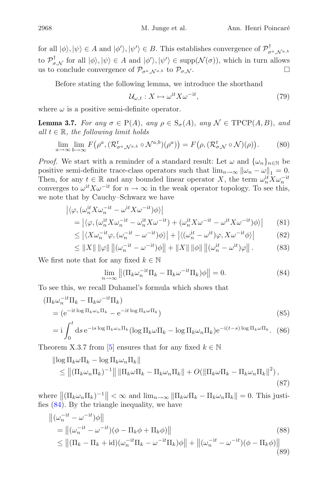for all  $|\phi\rangle, |\psi\rangle \in A$  and  $|\phi'\rangle, |\psi'\rangle \in B$ . This establishes convergence of  $\mathcal{P}^{\perp}_{\sigma^a, \mathcal{N}^{a,b}}$ to  $\mathcal{P}_{\sigma,\mathcal{N}}^{\dagger}$  for all  $|\phi\rangle, |\psi\rangle \in A$  and  $|\phi'\rangle, |\psi'\rangle \in \text{supp}(\mathcal{N}(\sigma))$ , which in turn allows us to conclude convergence of  $\mathcal{P}_{\sigma,\mathcal{M}}$  to  $\mathcal{P}_{\sigma,\mathcal{M}}$ us to conclude convergence of  $\mathcal{P}_{\sigma^a N^{a,b}}$  to  $\mathcal{P}_{\sigma N}$ .

Before stating the following lemma, we introduce the shorthand

$$
\mathcal{U}_{\omega,t}: X \mapsto \omega^{\mathrm{i}t} X \omega^{-\mathrm{i}t},\tag{79}
$$

where  $\omega$  is a positive semi-definite operator.

<span id="page-14-1"></span>**Lemma 3.7.** *For any*  $\sigma \in P(A)$ *, any*  $\rho \in S_{\sigma}(A)$ *, any*  $\mathcal{N} \in \text{TPCP}(A, B)$ *, and all*  $t \in \mathbb{R}$ *, the following limit holds* 

$$
\lim_{a \to \infty} \lim_{b \to \infty} F(\rho^a, (\mathcal{R}_{\sigma^a, \mathcal{N}^{a,b}}^t \circ \mathcal{N}^{a,b})(\rho^a)) = F(\rho, (\mathcal{R}_{\sigma, \mathcal{N}}^t \circ \mathcal{N})(\rho)).
$$
 (80)

*Proof.* We start with a reminder of a standard result: Let  $\omega$  and  $\{\omega_n\}_{n\in\mathbb{N}}$  be positive semi-definite trace-class operators such that  $\lim_{n\to\infty} ||\omega_n - \omega||_1 = 0$ . Then, for any  $t \in \mathbb{R}$  and any bounded linear operator X, the term  $\omega_n^{it} X \omega_n^{-it}$ <br>converges to  $\omega^{it} X \omega^{-it}$  for  $n \to \infty$  in the weak operator topology. To see this converges to  $\omega^{it} X \omega^{-it}$  for  $n \to \infty$  in the weak operator topology. To see this,<br>we note that by Cauchy–Schwarz we have we note that by Cauchy–Schwarz we have

$$
\begin{aligned} \left| \langle \varphi, (\omega_n^{it} X \omega_n^{-it} - \omega^{it} X \omega^{-it}) \phi \rangle \right| \\ &= \left| \langle \varphi, (\omega_n^{it} X \omega_n^{-it} - \omega_n^{it} X \omega^{-it}) + (\omega_n^{it} X \omega^{-it} - \omega^{it} X \omega^{-it}) \phi \rangle \right| \end{aligned} \tag{81}
$$

$$
\leq \left| \langle X\omega_n^{-it}\varphi, (\omega_n^{-it} - \omega^{-it})\phi \rangle \right| + \left| \langle (\omega_n^{it} - \omega^{it})\varphi, X\omega^{-it}\phi \rangle \right| \tag{82}
$$

$$
\leq \|X\| \|\varphi\| \left\| (\omega_n^{-it} - \omega^{-it})\phi \right\| + \|X\| \|\phi\| \left\| (\omega_n^{it} - \omega^{it})\varphi \right\|.
$$
 (83)

We first note that for any fixed  $k \in \mathbb{N}$ 

<span id="page-14-0"></span>
$$
\lim_{n \to \infty} \left\| (\Pi_k \omega_n^{-it} \Pi_k - \Pi_k \omega^{-it} \Pi_k) \phi \right\| = 0.
$$
 (84)

To see this, we recall Duhamel's formula which shows that

$$
\begin{aligned} \left(\Pi_{k}\omega_{n}^{-it}\Pi_{k} - \Pi_{k}\omega^{-it}\Pi_{k}\right) \\ &= \left(e^{-it\log\Pi_{k}\omega_{n}\Pi_{k}} - e^{-it\log\Pi_{k}\omega\Pi_{k}}\right) \\ &= i\int^{t} ds\,e^{-is\log\Pi_{k}\omega_{n}\Pi_{k}}\left(\log\Pi_{k}\omega\Pi_{k} - \log\Pi_{k}\omega_{n}\Pi_{k}\right)e^{-i(t-s)\log\Pi_{k}\omega\Pi_{k}}.\end{aligned} \tag{85}
$$

Theorem X.3.7 from [\[5\]](#page-21-6) ensures that for any fixed  $k \in \mathbb{N}$ 

$$
\|\log \Pi_k \omega \Pi_k - \log \Pi_k \omega_n \Pi_k\|
$$
  
\$\leq \left\| (\Pi\_k \omega\_n \Pi\_k)^{-1} \right\| \|\Pi\_k \omega \Pi\_k - \Pi\_k \omega\_n \Pi\_k\| + O(\|\Pi\_k \omega \Pi\_k - \Pi\_k \omega\_n \Pi\_k\|^2), \tag{87}

where  $\left\|(\Pi_k \omega_n \Pi_k)^{-1}\right\| < \infty$  and  $\lim_{n \to \infty} \|\Pi_k \omega \Pi_k - \Pi_k \omega_n \Pi_k\| = 0$ . This justifies (84) By the triangle inequality we have fies [\(84\)](#page-14-0). By the triangle inequality, we have

$$
\|(\omega_n^{-it} - \omega^{-it})\phi\|
$$
  
\n
$$
= \|(\omega_n^{-it} - \omega^{-it})(\phi - \Pi_k \phi + \Pi_k \phi)\|
$$
  
\n
$$
\leq \|(\Pi_k - \Pi_k + id)(\omega_n^{-it}\Pi_k - \omega^{-it}\Pi_k)\phi\| + \|(\omega_n^{-it} - \omega^{-it})(\phi - \Pi_k \phi)\|
$$
  
\n(88)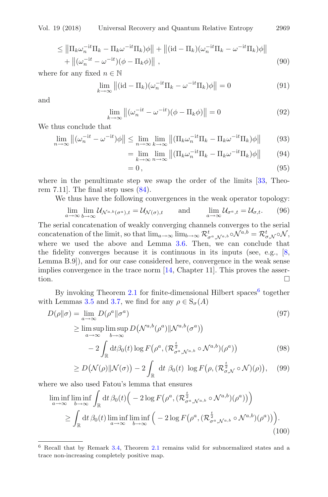$$
\leq \left\| \Pi_k \omega_n^{-it} \Pi_k - \Pi_k \omega^{-it} \Pi_k \right) \phi \right\| + \left\| (\mathrm{id} - \Pi_k)(\omega_n^{-it} \Pi_k - \omega^{-it} \Pi_k) \phi \right\| + \left\| (\omega_n^{-it} - \omega^{-it})(\phi - \Pi_k \phi) \right\|,
$$
\n(90)

where for any fixed  $n \in \mathbb{N}$ 

$$
\lim_{k \to \infty} \left\| (\mathrm{id} - \Pi_k)(\omega_n^{-\mathrm{i}t} \Pi_k - \omega^{-\mathrm{i}t} \Pi_k) \phi \right\| = 0 \tag{91}
$$

and

$$
\lim_{k \to \infty} \left\| (\omega_n^{-it} - \omega^{-it})(\phi - \Pi_k \phi) \right\| = 0 \tag{92}
$$

We thus conclude that

$$
\lim_{n \to \infty} \left\| (\omega_n^{-it} - \omega^{-it})\phi \right\| \le \lim_{n \to \infty} \lim_{k \to \infty} \left\| (\Pi_k \omega_n^{-it} \Pi_k - \Pi_k \omega^{-it} \Pi_k)\phi \right\| \tag{93}
$$

$$
= \lim_{k \to \infty} \lim_{n \to \infty} \left\| \left( \prod_{k} \omega_n^{-it} \Pi_k - \Pi_k \omega^{-it} \Pi_k \right) \phi \right\| \tag{94}
$$

$$
=0,
$$
\n<sup>(95)</sup>

where in the penultimate step we swap the order of the limits [\[33](#page-22-18), Theorem 7.11. The final step uses  $(84)$ .

We thus have the following convergences in the weak operator topology:

$$
\lim_{a \to \infty} \lim_{b \to \infty} \mathcal{U}_{\mathcal{N}^{a,b}(\sigma^a),t} = \mathcal{U}_{\mathcal{N}(\sigma),t} \quad \text{and} \quad \lim_{a \to \infty} \mathcal{U}_{\sigma^a,t} = \mathcal{U}_{\sigma,t}. \quad (96)
$$

The serial concatenation of weakly converging channels converges to the serial concatenation of the limit, so that  $\lim_{a\to\infty} \lim_{b\to\infty} \mathcal{R}^t_{\sigma^a, \mathcal{N}^{a,b}} \circ \mathcal{N}^{a,b} = \mathcal{R}^t_{\sigma, \mathcal{N}} \circ \mathcal{N}$ where we used the above and Lemma [3.6.](#page-11-2) Then, we can conclude that the fidelity converges because it is continuous in its inputs (see, e.g., [\[8,](#page-21-0) Lemma B.9]), and for our case considered here, convergence in the weak sense implies convergence in the trace norm [\[14](#page-22-15), Chapter 11]. This proves the assertion.

By invoking Theorem [2.1](#page-5-0) for finite-dimensional Hilbert spaces<sup>[6](#page-15-0)</sup> together with Lemmas [3.5](#page-10-1) and [3.7,](#page-14-1) we find for any  $\rho \in S_{\sigma}(A)$ 

$$
D(\rho||\sigma) = \lim_{a \to \infty} D(\rho^a||\sigma^a)
$$
\n
$$
\geq \limsup_{a \to \infty} \limsup_{b \to \infty} D(\mathcal{N}^{a,b}(\rho^a)||\mathcal{N}^{a,b}(\sigma^a))
$$
\n
$$
-2 \int_{\mathbb{R}} dt \beta_0(t) \log F(\rho^a, (\mathcal{R}_{\sigma^a, \mathcal{N}^{a,b}}^{\frac{t}{2}} \circ \mathcal{N}^{a,b})(\rho^a))
$$
\n(98)

$$
\geq D\big(\mathcal{N}(\rho)\|\mathcal{N}(\sigma)\big)-2\int_{\mathbb{R}}\mathrm{d}t\;\beta_0(t)\;\log F\big(\rho,(\mathcal{R}_{\sigma,\mathcal{N}}^{\frac{t}{2}}\circ\mathcal{N})(\rho)\big),\quad(99)
$$

where we also used Fatou's lemma that ensures

$$
\liminf_{a \to \infty} \liminf_{b \to \infty} \int_{\mathbb{R}} dt \,\beta_0(t) \Big( -2 \log F\big(\rho^a, (\mathcal{R}_{\sigma^a, \mathcal{N}^{a,b}}^{\frac{t}{2}} \circ \mathcal{N}^{a,b})(\rho^a) \big) \Big) \n\ge \int_{\mathbb{R}} dt \,\beta_0(t) \liminf_{a \to \infty} \liminf_{b \to \infty} \Big( -2 \log F\big(\rho^a, (\mathcal{R}_{\sigma^a, \mathcal{N}^{a,b}}^{\frac{t}{2}} \circ \mathcal{N}^{a,b})(\rho^a) \big) \Big).
$$
\n(100)

<span id="page-15-0"></span><sup>6</sup> Recall that by Remark [3.4,](#page-9-2) Theorem [2.1](#page-5-0) remains valid for subnormalized states and a trace non-increasing completely positive map.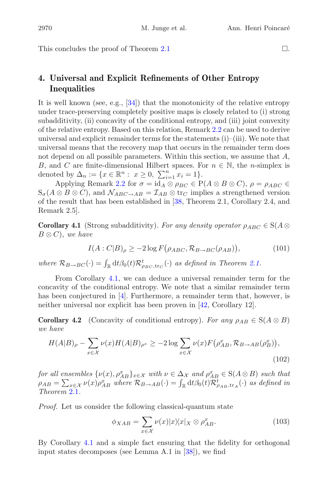This concludes the proof of Theorem [2.1](#page-5-0)

## **4. Universal and Explicit Refinements of Other Entropy Inequalities**

It is well known (see, e.g.,  $[34]$  $[34]$ ) that the monotonicity of the relative entropy under trace-preserving completely positive maps is closely related to (i) strong subadditivity, (ii) concavity of the conditional entropy, and (iii) joint convexity of the relative entropy. Based on this relation, Remark [2.2](#page-5-1) can be used to derive universal and explicit remainder terms for the statements (i)–(iii). We note that universal means that the recovery map that occurs in the remainder term does not depend on all possible parameters. Within this section, we assume that  $A$ , B, and C are finite-dimensional Hilbert spaces. For  $n \in \mathbb{N}$ , the *n*-simplex is denoted by  $\Delta_n := \{x \in \mathbb{R}^n : x \geq 0, \sum_{i=1}^n x_i = 1\}.$ <br>Applying Bemark 2.2 for  $\sigma = \text{id} \cdot \otimes \text{diag} \in \mathbb{R}$ 

Applying Remark [2.2](#page-5-1) for  $\sigma = id_A \otimes \rho_{BC} \in P(A \otimes B \otimes C)$ ,  $\rho = \rho_{ABC} \in$  $S_{\sigma}(A\otimes B\otimes C)$ , and  $\mathcal{N}_{ABC\rightarrow AB}=\mathcal{I}_{AB}\otimes \text{tr}_{C}$  implies a strengthened version of the result that has been established in [\[38,](#page-23-4) Theorem 2.1, Corollary 2.4, and Remark 2.5].

<span id="page-16-0"></span>**Corollary 4.1** (Strong subadditivity). For any density operator  $\rho_{ABC} \in S(A \otimes$ B <sup>⊗</sup> C)*, we have*

$$
I(A:C|B)_{\rho} \ge -2\log F(\rho_{ABC}, \mathcal{R}_{B\to BC}(\rho_{AB})),\tag{101}
$$

*where*  $\mathcal{R}_{B\to BC}(\cdot) = \int_{\mathbb{R}} dt \beta_0(t) \mathcal{R}_{\rho_{BC},\text{tr}_C}^t(\cdot)$  *as defined in Theorem [2.1.](#page-5-0)* 

From Corollary [4.1,](#page-16-0) we can deduce a universal remainder term for the concavity of the conditional entropy. We note that a similar remainder term has been conjectured in  $[4]$  $[4]$ . Furthermore, a remainder term that, however, is neither universal nor explicit has been proven in [\[42](#page-23-5), Corollary 12].

**Corollary 4.2** (Concavity of conditional entropy). For any  $\rho_{AB} \in S(A \otimes B)$ *we have*

$$
H(A|B)_{\rho} - \sum_{x \in \mathcal{X}} \nu(x) H(A|B)_{\rho^x} \ge -2 \log \sum_{x \in \mathcal{X}} \nu(x) F(\rho^x_{AB}, \mathcal{R}_{B \to AB}(\rho^x_B)),
$$
\n(102)

*for all ensembles*  $\{\nu(x), \rho_{AB}^x\}_{x \in \mathcal{X}}$  *with*  $\nu \in \Delta_{\mathcal{X}}$  *and*  $\rho_{AB}^x \in S(A \otimes B)$  *such that*<br> $\rho_{AB} = \sum_{\nu(x), \rho_{AB}^x = \nu_{AB}^x \rho_{BA}^x} \rho_{AB}(\rho_{AB}) = \int_{A} d^4 \rho_{AB}^x(\rho_{AB})^x$  (c) as defined in  $\rho_{AB} = \sum_{x \in \mathcal{X}} \nu(x) \rho_{AB}^x$  where  $\mathcal{R}_{B \to AB}(\cdot) = \int_{\mathbb{R}} dt \beta_0(t) \mathcal{R}_{\rho_{AB}, \text{tr}_A}^t(\cdot)$  as defined in Theorem 2.1 *Theorem* [2.1](#page-5-0)*.*

*Proof.* Let us consider the following classical-quantum state

$$
\phi_{XAB} = \sum_{x \in \mathcal{X}} \nu(x) |x\rangle\langle x|_X \otimes \rho_{AB}^x.
$$
\n(103)

By Corollary [4.1](#page-16-0) and a simple fact ensuring that the fidelity for orthogonal input states decomposes (see Lemma A.1 in [\[38\]](#page-23-4)), we find

 $\Box$ .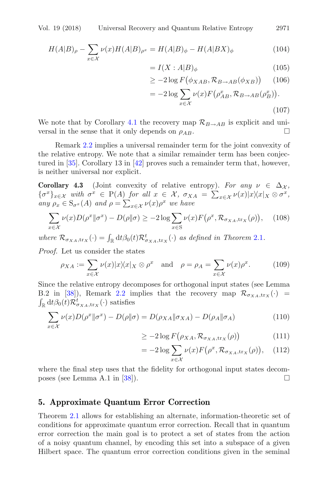$$
H(A|B)_{\rho} - \sum_{x \in \mathcal{X}} \nu(x)H(A|B)_{\rho^x} = H(A|B)_{\phi} - H(A|BX)_{\phi}
$$
\n<sup>(104)</sup>

$$
= I(X:A|B)_{\phi} \tag{105}
$$

$$
\geq -2\log F(\phi_{XAB}, \mathcal{R}_{B\to AB}(\phi_{XB})) \qquad (106)
$$

$$
= -2\log \sum_{x \in \mathcal{X}} \nu(x) F(\rho_{AB}^x, \mathcal{R}_{B \to AB}(\rho_B^x)).
$$
\n(107)

We note that by Corollary [4.1](#page-16-0) the recovery map  $\mathcal{R}_{B\to AB}$  is explicit and universal in the sense that it only depends on  $\rho_{AB}$ versal in the sense that it only depends on  $\rho_{AB}$ .

Remark [2.2](#page-5-1) implies a universal remainder term for the joint convexity of the relative entropy. We note that a similar remainder term has been conjectured in [\[35](#page-23-6)]. Corollary 13 in [\[42](#page-23-5)] proves such a remainder term that, however, is neither universal nor explicit.

**Corollary 4.3** (Joint convexity of relative entropy). For any  $\nu \in \Delta_{\mathcal{X}}$ ,  ${\sigma^x}_{x \in \mathcal{X}}$  with  ${\sigma^x} \in P(A)$  for all  $x \in \mathcal{X}$ ,  ${\sigma_{XA}} = \sum_{x \in \mathcal{X}} \nu(x)|x \rangle \langle x|_X \otimes {\sigma^x}$ ,<br>any  ${\sigma_{\sigma}} \in S$  x(A) and  ${\sigma_{\sigma}} = \sum_{x \in \mathcal{X}} \nu(x) {\sigma^x}$  we have  $\lim_{\rho} \rho_x \in S_{\sigma^x}(A)$  *and*  $\rho = \sum_{x \in \mathcal{X}} \nu(x) \rho^x$  *we have* 

$$
\sum_{x \in \mathcal{X}} \nu(x) D(\rho^x \| \sigma^x) - D(\rho \| \sigma) \ge -2 \log \sum_{x \in S} \nu(x) F(\rho^x, \mathcal{R}_{\sigma_{XA}, \text{tr}_X}(\rho)), \quad (108)
$$

where  $\mathcal{R}_{\sigma_{XA},\text{tr}_X}(\cdot) = \int_{\mathbb{R}} dt \beta_0(t) \mathcal{R}_{\sigma_{XA},\text{tr}_X}^t(\cdot)$  *as defined in Theorem [2.1](#page-5-0).* 

*Proof.* Let us consider the states

$$
\rho_{XA} := \sum_{x \in \mathcal{X}} \nu(x) |x \rangle \langle x |_{X} \otimes \rho^{x} \quad \text{and} \quad \rho = \rho_{A} = \sum_{x \in \mathcal{X}} \nu(x) \rho^{x}.
$$
 (109)

Since the relative entropy decomposes for orthogonal input states (see Lemma B.2 in [\[38](#page-23-4)]), Remark [2.2](#page-5-1) implies that the recovery map  $\mathcal{R}_{\sigma_{XA},\text{tr}_X}(\cdot)$  =  $\int_{\mathbb{R}} \mathrm{d}t \beta_0(t) \mathcal{R}_{\sigma_{XA},\text{tr}_X}^t(\cdot)$  satisfies

$$
\sum_{x \in \mathcal{X}} \nu(x) D(\rho^x \| \sigma^x) - D(\rho \| \sigma) = D(\rho_{XA} \| \sigma_{XA}) - D(\rho_A \| \sigma_A)
$$
\n(110)

$$
\geq -2\log F\big(\rho_{XA}, \mathcal{R}_{\sigma_{XA}, \text{tr}_X}(\rho)\big) \tag{111}
$$

$$
= -2\log \sum_{x \in \mathcal{X}} \nu(x) F(\rho^x, \mathcal{R}_{\sigma_{XA}, \text{tr}_X}(\rho)), \quad (112)
$$

where the final step uses that the fidelity for orthogonal input states decom-poses (see Lemma A.1 in [\[38](#page-23-4)]).  $\square$ 

#### **5. Approximate Quantum Error Correction**

Theorem [2.1](#page-5-0) allows for establishing an alternate, information-theoretic set of conditions for approximate quantum error correction. Recall that in quantum error correction the main goal is to protect a set of states from the action of a noisy quantum channel, by encoding this set into a subspace of a given Hilbert space. The quantum error correction conditions given in the seminal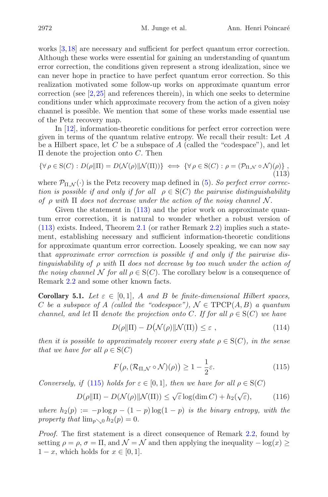works  $[3,18]$  $[3,18]$  $[3,18]$  are necessary and sufficient for perfect quantum error correction. Although these works were essential for gaining an understanding of quantum error correction, the conditions given represent a strong idealization, since we can never hope in practice to have perfect quantum error correction. So this realization motivated some follow-up works on approximate quantum error correction (see [\[2](#page-21-9),[25\]](#page-22-20) and references therein), in which one seeks to determine conditions under which approximate recovery from the action of a given noisy channel is possible. We mention that some of these works made essential use of the Petz recovery map.

In [\[12\]](#page-22-21), information-theoretic conditions for perfect error correction were given in terms of the quantum relative entropy. We recall their result: Let A be a Hilbert space, let C be a subspace of A (called the "codespace"), and let  $\Pi$  denote the projection onto  $C$ . Then

<span id="page-18-0"></span>
$$
\{\forall \rho \in S(C) : D(\rho \|\Pi) = D(\mathcal{N}(\rho) \|\mathcal{N}(\Pi))\} \iff \{\forall \rho \in S(C) : \rho = (\mathcal{P}_{\Pi, \mathcal{N}} \circ \mathcal{N})(\rho)\},\tag{113}
$$

where  $\mathcal{P}_{\Pi,\mathcal{N}}(\cdot)$  is the Petz recovery map defined in [\(5\)](#page-2-4). So perfect error correc*tion is possible if and only if for all*  $\rho \in S(C)$  *the pairwise distinguishability of*  $\rho$  *with*  $\Pi$  *does not decrease under the action of the noisy channel*  $\mathcal{N}$ .

Given the statement in  $(113)$  and the prior work on approximate quantum error correction, it is natural to wonder whether a robust version of [\(113\)](#page-18-0) exists. Indeed, Theorem [2.1](#page-5-0) (or rather Remark [2.2\)](#page-5-1) implies such a statement, establishing necessary and sufficient information-theoretic conditions for approximate quantum error correction. Loosely speaking, we can now say that *approximate error correction is possible if and only if the pairwise distinguishability of* ρ *with* <sup>Π</sup> *does not decrease by too much under the action of the noisy channel* N *for all*  $\rho \in S(C)$ . The corollary below is a consequence of Remark [2.2](#page-5-1) and some other known facts.

**Corollary 5.1.** *Let*  $\varepsilon \in [0,1]$ *,* A and B be finite-dimensional Hilbert spaces, C *be a subspace of* A *(called the "codespace")*,  $\mathcal{N} \in \text{TPCP}(A, B)$  *a quantum channel, and let*  $\Pi$  *denote the projection onto* C. If for all  $\rho \in S(C)$  *we have* 

$$
D(\rho||\Pi) - D(\mathcal{N}(\rho)||\mathcal{N}(\Pi)) \le \varepsilon , \qquad (114)
$$

*then it is possible to approximately recover every state*  $\rho \in S(C)$ *, in the sense that we have for all*  $\rho \in S(C)$ 

<span id="page-18-1"></span>
$$
F(\rho, (\mathcal{R}_{\Pi,\mathcal{N}} \circ \mathcal{N})(\rho)) \ge 1 - \frac{1}{2}\varepsilon. \tag{115}
$$

*Conversely, if* [\(115\)](#page-18-1) *holds for*  $\varepsilon \in [0,1]$ *, then we have for all*  $\rho \in S(C)$ 

$$
D(\rho \| \Pi) - D(\mathcal{N}(\rho) \| \mathcal{N}(\Pi)) \le \sqrt{\varepsilon} \log(\dim C) + h_2(\sqrt{\varepsilon}), \tag{116}
$$

*where*  $h_2(p) := -p \log p - (1-p) \log(1-p)$  *is the binary entropy, with the property that*  $\lim_{p\to 0} h_2(p)=0$ *.* 

*Proof.* The first statement is a direct consequence of Remark [2.2,](#page-5-1) found by setting  $\rho = \rho$ ,  $\sigma = \Pi$ , and  $\mathcal{N} = \mathcal{N}$  and then applying the inequality  $-\log(x)$  $1-x$ , which holds for  $x \in [0,1]$ .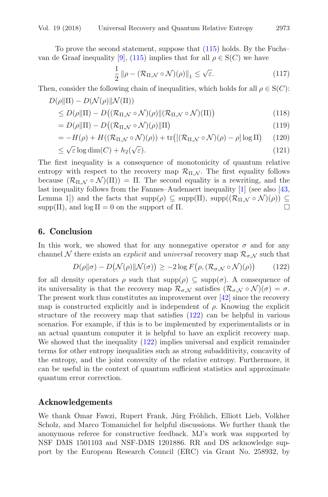To prove the second statement, suppose that [\(115\)](#page-18-1) holds. By the Fuchs– van de Graaf inequality [\[9](#page-21-3)], [\(115\)](#page-18-1) implies that for all  $\rho \in S(C)$  we have

$$
\frac{1}{2} \|\rho - (\mathcal{R}_{\Pi,\mathcal{N}} \circ \mathcal{N})(\rho)\|_{1} \le \sqrt{\varepsilon}.\tag{117}
$$

Then, consider the following chain of inequalities, which holds for all  $\rho \in S(C)$ :<br> $D(\rho || \Pi) - D(\mathcal{N}(\rho) || \mathcal{N}(\Pi))$ 

$$
D(\rho||\Pi) - D(\mathcal{N}(\rho)||\mathcal{N}(\Pi))
$$
  
\n
$$
\leq D(\rho||\Pi) - D((\mathcal{R}_{\Pi,\mathcal{N}} \circ \mathcal{N})(\rho)||(\mathcal{R}_{\Pi,\mathcal{N}} \circ \mathcal{N})(\Pi))
$$
\n(118)

$$
= D(\rho \|\Pi) - D\big((\mathcal{R}_{\Pi,\mathcal{N}} \circ \mathcal{N})(\rho)\|\Pi\big) \tag{119}
$$

$$
= -H(\rho) + H((\mathcal{R}_{\Pi,\mathcal{N}} \circ \mathcal{N})(\rho)) + \text{tr}\big( [(\mathcal{R}_{\Pi,\mathcal{N}} \circ \mathcal{N})(\rho) - \rho] \log \Pi \big) \tag{120}
$$

$$
\leq \sqrt{\varepsilon} \log \dim(C) + h_2(\sqrt{\varepsilon}).\tag{121}
$$

The first inequality is a consequence of monotonicity of quantum relative entropy with respect to the recovery map  $\mathcal{R}_{\Pi,N}$ . The first equality follows because  $(\mathcal{R}_{\Pi,\mathcal{N}} \circ \mathcal{N})(\Pi) = \Pi$ . The second equality is a rewriting, and the last inequality follows from the Fannes–Audenaert inequality [\[1](#page-21-10)] (see also [\[43,](#page-23-10) Lemma 1]) and the facts that  $\text{supp}(\rho) \subseteq \text{supp}(\Pi)$ ,  $\text{supp}((\mathcal{R}_{\Pi,\mathcal{N}} \circ \mathcal{N})(\rho)) \subseteq \text{supp}(\Pi)$ , and  $\text{log } \Pi = 0$  on the support of  $\Pi$ .  $supp(\Pi)$ , and  $log \Pi = 0$  on the support of  $\Pi$ .

#### **6. Conclusion**

In this work, we showed that for any nonnegative operator  $\sigma$  and for any channel N there exists an *explicit* and *universal* recovery map  $\mathcal{R}_{\sigma, N}$  such that

<span id="page-19-0"></span>
$$
D(\rho||\sigma) - D(\mathcal{N}(\rho)||\mathcal{N}(\sigma)) \ge -2\log F(\rho, (\mathcal{R}_{\sigma,\mathcal{N}} \circ \mathcal{N})(\rho)) \tag{122}
$$

for all density operators  $\rho$  such that  $\text{supp}(\rho) \subseteq \text{supp}(\sigma)$ . A consequence of its universality is that the recovery map  $\mathcal{R}_{\sigma,\mathcal{N}}$  satisfies  $(\mathcal{R}_{\sigma,\mathcal{N}}\circ\mathcal{N})(\sigma)=\sigma$ . The present work thus constitutes an improvement over [\[42](#page-23-5)] since the recovery map is constructed explicitly and is independent of  $\rho$ . Knowing the explicit structure of the recovery map that satisfies [\(122\)](#page-19-0) can be helpful in various scenarios. For example, if this is to be implemented by experimentalists or in an actual quantum computer it is helpful to have an explicit recovery map. We showed that the inequality [\(122\)](#page-19-0) implies universal and explicit remainder terms for other entropy inequalities such as strong subadditivity, concavity of the entropy, and the joint convexity of the relative entropy. Furthermore, it can be useful in the context of quantum sufficient statistics and approximate quantum error correction.

#### **Acknowledgements**

We thank Omar Fawzi, Rupert Frank, Jürg Fröhlich, Elliott Lieb, Volkher Scholz, and Marco Tomamichel for helpful discussions. We further thank the anonymous referee for constructive feedback. MJ's work was supported by NSF DMS 1501103 and NSF-DMS 1201886. RR and DS acknowledge support by the European Research Council (ERC) via Grant No. 258932, by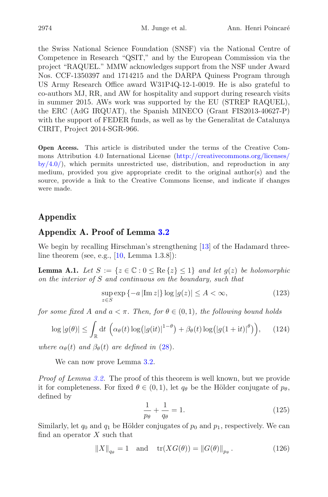the Swiss National Science Foundation (SNSF) via the National Centre of Competence in Research "QSIT," and by the European Commission via the project "RAQUEL." MMW acknowledges support from the NSF under Award Nos. CCF-1350397 and 1714215 and the DARPA Quiness Program through US Army Research Office award W31P4Q-12-1-0019. He is also grateful to co-authors MJ, RR, and AW for hospitality and support during research visits in summer 2015. AWs work was supported by the EU (STREP RAQUEL), the ERC (AdG IRQUAT), the Spanish MINECO (Grant FIS2013-40627-P) with the support of FEDER funds, as well as by the Generalitat de Catalunya CIRIT, Project 2014-SGR-966.

**Open Access.** This article is distributed under the terms of the Creative Commons Attribution 4.0 International License [\(http://creativecommons.org/licenses/](http://creativecommons.org/licenses/by/4.0/)  $b\nu/4.0$ , which permits unrestricted use, distribution, and reproduction in any medium, provided you give appropriate credit to the original author(s) and the source, provide a link to the Creative Commons license, and indicate if changes were made.

## **Appendix**

## **Appendix A. Proof of Lemma [3.2](#page-8-1)**

We begin by recalling Hirschman's strengthening [\[13\]](#page-22-14) of the Hadamard threeline theorem (see, e.g.,  $[10, \text{Lemma } 1.3.8]$  $[10, \text{Lemma } 1.3.8]$ ):

<span id="page-20-0"></span>**Lemma A.1.** *Let*  $S := \{z \in \mathbb{C} : 0 \leq \text{Re}\{z\} \leq 1\}$  *and let*  $g(z)$  *be holomorphic on the interior of* S *and continuous on the boundary, such that*

$$
\sup_{z \in S} \exp\left\{-a \left| \text{Im } z \right| \right\} \log|g(z)| \le A < \infty,\tag{123}
$$

*for some fixed* A and  $a < \pi$ . Then, for  $\theta \in (0,1)$ , the following bound holds

$$
\log|g(\theta)| \leq \int_{\mathbb{R}} \mathrm{d}t \, \left( \alpha_{\theta}(t) \log(|g(\mathrm{i}t)|^{1-\theta}) + \beta_{\theta}(t) \log(|g(1+\mathrm{i}t)|^{\theta}) \right), \qquad (124)
$$

*where*  $\alpha_{\theta}(t)$  *and*  $\beta_{\theta}(t)$  *are defined in* [\(28\)](#page-8-4)*.* 

We can now prove Lemma  $3.2$ .

*Proof of Lemma [3.2.](#page-8-1)* The proof of this theorem is well known, but we provide it for completeness. For fixed  $\theta \in (0,1)$ , let  $q_{\theta}$  be the Hölder conjugate of  $p_{\theta}$ , defined by

$$
\frac{1}{p_{\theta}} + \frac{1}{q_{\theta}} = 1.
$$
\n(125)

Similarly, let  $q_0$  and  $q_1$  be Hölder conjugates of  $p_0$  and  $p_1$ , respectively. We can find an operator  $X$  such that

$$
||X||_{q_{\theta}} = 1
$$
 and  $tr(XG(\theta)) = ||G(\theta)||_{p_{\theta}}$ . (126)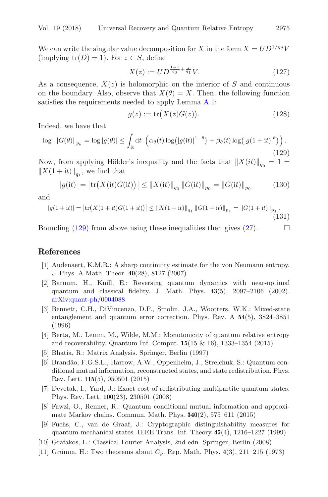We can write the singular value decomposition for X in the form  $X = UD^{1/q_{\theta}}V$ (implying  $tr(D) = 1$ ). For  $z \in S$ , define

$$
X(z) := UD^{\frac{1-z}{q_0} + \frac{z}{q_1}}V.
$$
\n(127)

As a consequence,  $X(z)$  is holomorphic on the interior of S and continuous on the boundary. Also, observe that  $X(\theta) = X$ . Then, the following function satisfies the requirements needed to apply Lemma [A.1:](#page-20-0)

$$
g(z) := \operatorname{tr}(X(z)G(z)).\tag{128}
$$

Indeed, we have that

<span id="page-21-11"></span>
$$
\log ||G(\theta)||_{p_{\theta}} = \log |g(\theta)| \le \int_{\mathbb{R}} dt \, \left( \alpha_{\theta}(t) \log (|g(it)|^{1-\theta}) + \beta_{\theta}(t) \log (|g(1+it)|^{\theta}) \right). \tag{129}
$$

Now, from applying Hölder's inequality and the facts that  $||X(it)||_{q_0} = 1=$  $||X(1 + it)||_{a_1}$ , we find that

$$
|g(it)| = \left| \text{tr}\big(X(\text{it})G(\text{it})\big) \right| \le \|X(\text{it})\|_{q_0} \|G(\text{it})\|_{p_0} = \|G(\text{it})\|_{p_0} \tag{130}
$$

and

$$
|g(1+it)| = |tr(X(1+it)G(1+it))| \le ||X(1+it)||_{q_1} ||G(1+it)||_{p_1} = ||G(1+it)||_{p_1}.
$$
\n(131)

Bounding [\(129\)](#page-21-11) from above using these inequalities then gives [\(27\)](#page-8-2).  $\Box$ 

### **References**

- <span id="page-21-10"></span>[1] Audenaert, K.M.R.: A sharp continuity estimate for the von Neumann entropy. J. Phys. A Math. Theor. **40**(28), 8127 (2007)
- <span id="page-21-9"></span>[2] Barnum, H., Knill, E.: Reversing quantum dynamics with near-optimal quantum and classical fidelity. J. Math. Phys. **43**(5), 2097–2106 (2002). [arXiv:quant-ph/0004088](http://arxiv.org/abs/quant-ph/0004088)
- <span id="page-21-8"></span>[3] Bennett, C.H., DiVincenzo, D.P., Smolin, J.A., Wootters, W.K.: Mixed-state entanglement and quantum error correction. Phys. Rev. A **54**(5), 3824–3851 (1996)
- <span id="page-21-7"></span>[4] Berta, M., Lemm, M., Wilde, M.M.: Monotonicity of quantum relative entropy and recoverability. Quantum Inf. Comput. **15**(15 & 16), 1333–1354 (2015)
- <span id="page-21-6"></span>[5] Bhatia, R.: Matrix Analysis. Springer, Berlin (1997)
- <span id="page-21-1"></span>[6] Brand˜ao, F.G.S.L., Harrow, A.W., Oppenheim, J., Strelchuk, S.: Quantum conditional mutual information, reconstructed states, and state redistribution. Phys. Rev. Lett. **115**(5), 050501 (2015)
- <span id="page-21-2"></span>[7] Devetak, I., Yard, J.: Exact cost of redistributing multipartite quantum states. Phys. Rev. Lett. **100**(23), 230501 (2008)
- <span id="page-21-0"></span>[8] Fawzi, O., Renner, R.: Quantum conditional mutual information and approximate Markov chains. Commun. Math. Phys. **340**(2), 575–611 (2015)
- <span id="page-21-3"></span>[9] Fuchs, C., van de Graaf, J.: Cryptographic distinguishability measures for quantum-mechanical states. IEEE Trans. Inf. Theory **45**(4), 1216–1227 (1999)
- <span id="page-21-4"></span>[10] Grafakos, L.: Classical Fourier Analysis, 2nd edn. Springer, Berlin (2008)
- <span id="page-21-5"></span>[11] Grümm, H.: Two theorems about  $C_p$ . Rep. Math. Phys.  $4(3)$ , 211–215 (1973)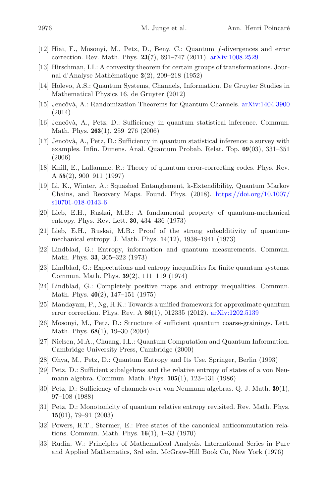- <span id="page-22-21"></span>[12] Hiai, F., Mosonyi, M., Petz, D., Beny, C.: Quantum f-divergences and error correction. Rev. Math. Phys. **23**(7), 691–747 (2011). [arXiv:1008.2529](http://arxiv.org/abs/1008.2529)
- <span id="page-22-14"></span>[13] Hirschman, I.I.: A convexity theorem for certain groups of transformations. Journal d'Analyse Math´ematique **2**(2), 209–218 (1952)
- <span id="page-22-15"></span>[14] Holevo, A.S.: Quantum Systems, Channels, Information. De Gruyter Studies in Mathematical Physics 16, de Gruyter (2012)
- <span id="page-22-9"></span>[15] Jencŏvà, A.: Randomization Theorems for Quantum Channels. [arXiv:1404.3900](http://arxiv.org/abs/1404.3900) (2014)
- <span id="page-22-0"></span>[16] Jencŏvà, A., Petz, D.: Sufficiency in quantum statistical inference. Commun. Math. Phys. **263**(1), 259–276 (2006)
- <span id="page-22-6"></span> $[17]$  Jencovà, A., Petz, D.: Sufficiency in quantum statistical inference: a survey with examples. Infin. Dimens. Anal. Quantum Probab. Relat. Top. **09**(03), 331–351 (2006)
- <span id="page-22-19"></span>[18] Knill, E., Laflamme, R.: Theory of quantum error-correcting codes. Phys. Rev. A **55**(2), 900–911 (1997)
- <span id="page-22-13"></span>[19] Li, K., Winter, A.: Squashed Entanglement, k-Extendibility, Quantum Markov Chains, and Recovery Maps. Found. Phys. (2018). [https://doi.org/10.1007/](https://doi.org/10.1007/s10701-018-0143-6) [s10701-018-0143-6](https://doi.org/10.1007/s10701-018-0143-6)
- <span id="page-22-10"></span>[20] Lieb, E.H., Ruskai, M.B.: A fundamental property of quantum-mechanical entropy. Phys. Rev. Lett. **30**, 434–436 (1973)
- <span id="page-22-11"></span>[21] Lieb, E.H., Ruskai, M.B.: Proof of the strong subadditivity of quantummechanical entropy. J. Math. Phys. **14**(12), 1938–1941 (1973)
- <span id="page-22-4"></span>[22] Lindblad, G.: Entropy, information and quantum measurements. Commun. Math. Phys. **33**, 305–322 (1973)
- <span id="page-22-16"></span>[23] Lindblad, G.: Expectations and entropy inequalities for finite quantum systems. Commun. Math. Phys. **39**(2), 111–119 (1974)
- <span id="page-22-5"></span>[24] Lindblad, G.: Completely positive maps and entropy inequalities. Commun. Math. Phys. **40**(2), 147–151 (1975)
- <span id="page-22-20"></span>[25] Mandayam, P., Ng, H.K.: Towards a unified framework for approximate quantum error correction. Phys. Rev. A **86**(1), 012335 (2012). [arXiv:1202.5139](http://arxiv.org/abs/1202.5139)
- <span id="page-22-1"></span>[26] Mosonyi, M., Petz, D.: Structure of sufficient quantum coarse-grainings. Lett. Math. Phys. **68**(1), 19–30 (2004)
- <span id="page-22-12"></span>[27] Nielsen, M.A., Chuang, I.L.: Quantum Computation and Quantum Information. Cambridge University Press, Cambridge (2000)
- <span id="page-22-8"></span>[28] Ohya, M., Petz, D.: Quantum Entropy and Its Use. Springer, Berlin (1993)
- <span id="page-22-2"></span>[29] Petz, D.: Sufficient subalgebras and the relative entropy of states of a von Neumann algebra. Commun. Math. Phys. **105**(1), 123–131 (1986)
- <span id="page-22-3"></span>[30] Petz, D.: Sufficiency of channels over von Neumann algebras. Q. J. Math. **39**(1), 97–108 (1988)
- <span id="page-22-7"></span>[31] Petz, D.: Monotonicity of quantum relative entropy revisited. Rev. Math. Phys. **15**(01), 79–91 (2003)
- <span id="page-22-17"></span>[32] Powers, R.T., Størmer, E.: Free states of the canonical anticommutation relations. Commun. Math. Phys. **16**(1), 1–33 (1970)
- <span id="page-22-18"></span>[33] Rudin, W.: Principles of Mathematical Analysis. International Series in Pure and Applied Mathematics, 3rd edn. McGraw-Hill Book Co, New York (1976)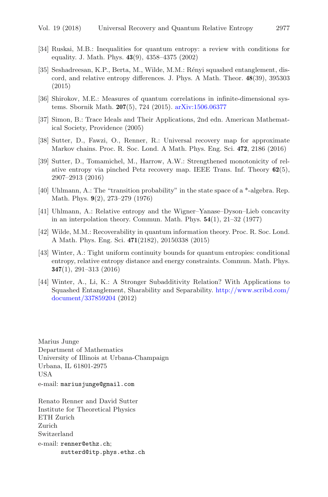- <span id="page-23-9"></span>[34] Ruskai, M.B.: Inequalities for quantum entropy: a review with conditions for equality. J. Math. Phys. **43**(9), 4358–4375 (2002)
- <span id="page-23-6"></span>[35] Seshadreesan, K.P., Berta, M., Wilde, M.M.: Rényi squashed entanglement, discord, and relative entropy differences. J. Phys. A Math. Theor. **48**(39), 395303 (2015)
- <span id="page-23-3"></span>[36] Shirokov, M.E.: Measures of quantum correlations in infinite-dimensional systems. Sbornik Math. **207**(5), 724 (2015). [arXiv:1506.06377](http://arxiv.org/abs/1506.06377)
- <span id="page-23-8"></span>[37] Simon, B.: Trace Ideals and Their Applications, 2nd edn. American Mathematical Society, Providence (2005)
- <span id="page-23-4"></span>[38] Sutter, D., Fawzi, O., Renner, R.: Universal recovery map for approximate Markov chains. Proc. R. Soc. Lond. A Math. Phys. Eng. Sci. **472**, 2186 (2016)
- <span id="page-23-7"></span>[39] Sutter, D., Tomamichel, M., Harrow, A.W.: Strengthened monotonicity of relative entropy via pinched Petz recovery map. IEEE Trans. Inf. Theory **62**(5), 2907–2913 (2016)
- <span id="page-23-2"></span>[40] Uhlmann, A.: The "transition probability" in the state space of a \*-algebra. Rep. Math. Phys. **9**(2), 273–279 (1976)
- <span id="page-23-0"></span>[41] Uhlmann, A.: Relative entropy and the Wigner–Yanase–Dyson–Lieb concavity in an interpolation theory. Commun. Math. Phys. **54**(1), 21–32 (1977)
- <span id="page-23-5"></span>[42] Wilde, M.M.: Recoverability in quantum information theory. Proc. R. Soc. Lond. A Math. Phys. Eng. Sci. **471**(2182), 20150338 (2015)
- <span id="page-23-10"></span>[43] Winter, A.: Tight uniform continuity bounds for quantum entropies: conditional entropy, relative entropy distance and energy constraints. Commun. Math. Phys. **347**(1), 291–313 (2016)
- <span id="page-23-1"></span>[44] Winter, A., Li, K.: A Stronger Subadditivity Relation? With Applications to Squashed Entanglement, Sharability and Separability. [http://www.scribd.com/](http://www.scribd.com/document/337859204) [document/337859204](http://www.scribd.com/document/337859204) (2012)

Marius Junge Department of Mathematics University of Illinois at Urbana-Champaign Urbana, IL 61801-2975 USA e-mail: mariusjunge@gmail.com

Renato Renner and David Sutter Institute for Theoretical Physics ETH Zurich Zurich Switzerland e-mail: renner@ethz.ch; sutterd@itp.phys.ethz.ch